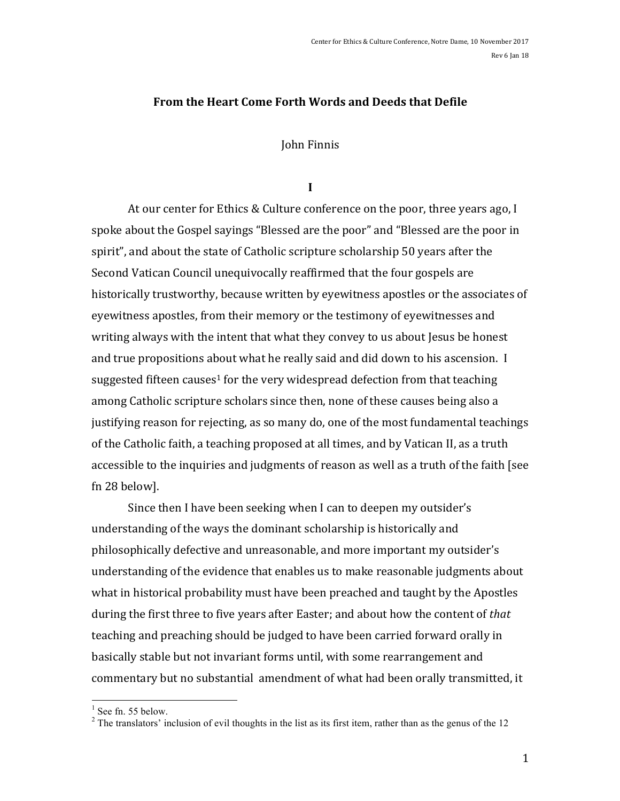#### Rev 6 Jan 18

#### **From the Heart Come Forth Words and Deeds that Defile**

John Finnis

**I**

At our center for Ethics & Culture conference on the poor, three years ago, I spoke about the Gospel sayings "Blessed are the poor" and "Blessed are the poor in spirit", and about the state of Catholic scripture scholarship 50 years after the Second Vatican Council unequivocally reaffirmed that the four gospels are historically trustworthy, because written by eyewitness apostles or the associates of eyewitness apostles, from their memory or the testimony of eyewitnesses and writing always with the intent that what they convey to us about Jesus be honest and true propositions about what he really said and did down to his ascension. I suggested fifteen causes<sup>1</sup> for the very widespread defection from that teaching among Catholic scripture scholars since then, none of these causes being also a justifying reason for rejecting, as so many do, one of the most fundamental teachings of the Catholic faith, a teaching proposed at all times, and by Vatican II, as a truth accessible to the inquiries and judgments of reason as well as a truth of the faith [see fn 28 below].

Since then I have been seeking when I can to deepen my outsider's understanding of the ways the dominant scholarship is historically and philosophically defective and unreasonable, and more important my outsider's understanding of the evidence that enables us to make reasonable judgments about what in historical probability must have been preached and taught by the Apostles during the first three to five years after Easter; and about how the content of *that* teaching and preaching should be judged to have been carried forward orally in basically stable but not invariant forms until, with some rearrangement and commentary but no substantial amendment of what had been orally transmitted, it

<sup>&</sup>lt;sup>1</sup> See fn. 55 below. <sup>2</sup> The translators' inclusion of evil thoughts in the list as its first item, rather than as the genus of the 12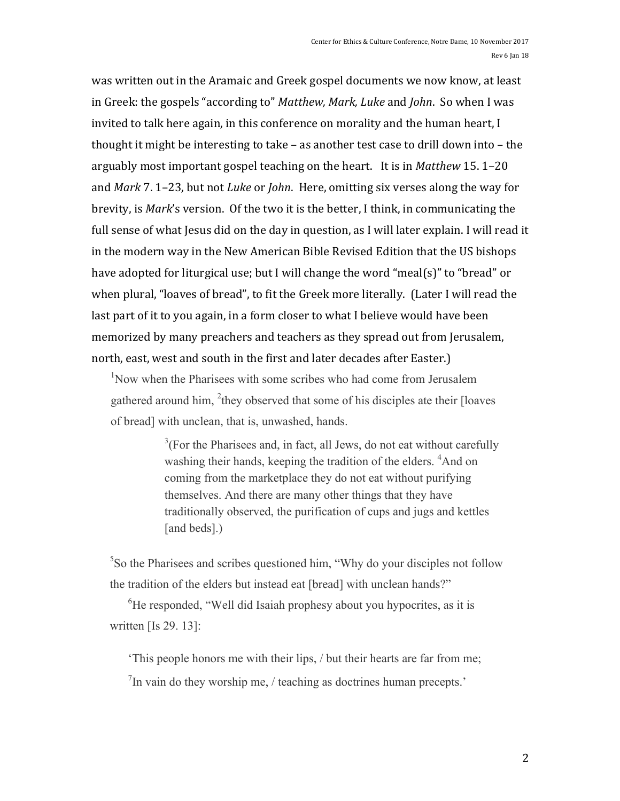was written out in the Aramaic and Greek gospel documents we now know, at least in Greek: the gospels "according to" *Matthew, Mark, Luke* and *John*. So when I was invited to talk here again, in this conference on morality and the human heart, I thought it might be interesting to take – as another test case to drill down into – the arguably most important gospel teaching on the heart. It is in *Matthew* 15.1-20 and *Mark* 7. 1–23, but not *Luke* or *John*. Here, omitting six verses along the way for brevity, is *Mark*'s version. Of the two it is the better, I think, in communicating the full sense of what Jesus did on the day in question, as I will later explain. I will read it in the modern way in the New American Bible Revised Edition that the US bishops have adopted for liturgical use; but I will change the word "meal(s)" to "bread" or when plural, "loaves of bread", to fit the Greek more literally. (Later I will read the last part of it to you again, in a form closer to what I believe would have been memorized by many preachers and teachers as they spread out from Jerusalem, north, east, west and south in the first and later decades after Easter.)

<sup>1</sup>Now when the Pharisees with some scribes who had come from Jerusalem gathered around him,  $^{2}$ they observed that some of his disciples ate their [loaves of bread] with unclean, that is, unwashed, hands.

> $3$ (For the Pharisees and, in fact, all Jews, do not eat without carefully washing their hands, keeping the tradition of the elders. <sup>4</sup>And on coming from the marketplace they do not eat without purifying themselves. And there are many other things that they have traditionally observed, the purification of cups and jugs and kettles [and beds].)

<sup>5</sup>So the Pharisees and scribes questioned him, "Why do your disciples not follow the tradition of the elders but instead eat [bread] with unclean hands?"

<sup>6</sup>He responded, "Well did Isaiah prophesy about you hypocrites, as it is written [Is 29. 13]:

'This people honors me with their lips, / but their hearts are far from me;  $^{7}$ In vain do they worship me, / teaching as doctrines human precepts.'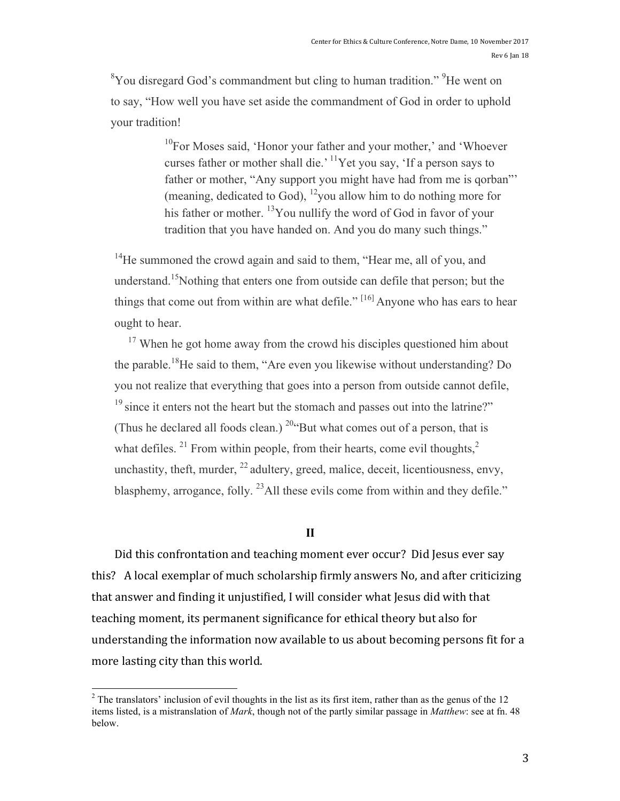${}^{8}$ You disregard God's commandment but cling to human tradition." <sup>9</sup>He went on to say, "How well you have set aside the commandment of God in order to uphold your tradition!

> $10$ For Moses said, 'Honor your father and your mother,' and 'Whoever curses father or mother shall die.' 11Yet you say, 'If a person says to father or mother, "Any support you might have had from me is qorban"' (meaning, dedicated to God),  $^{12}$ you allow him to do nothing more for his father or mother.  $\frac{13}{12}$  You nullify the word of God in favor of your tradition that you have handed on. And you do many such things."

<sup>14</sup>He summoned the crowd again and said to them, "Hear me, all of you, and understand.<sup>15</sup>Nothing that enters one from outside can defile that person; but the things that come out from within are what defile."  $[16]$  Anyone who has ears to hear ought to hear.

 $17$  When he got home away from the crowd his disciples questioned him about the parable.18He said to them, "Are even you likewise without understanding? Do you not realize that everything that goes into a person from outside cannot defile,  $19 \text{ since it enters not the heart but the stomach and passes out into the latrine?}$ (Thus he declared all foods clean.)  $^{20}$ "But what comes out of a person, that is what defiles. <sup>21</sup> From within people, from their hearts, come evil thoughts,  $2<sup>2</sup>$ unchastity, theft, murder,  $^{22}$  adultery, greed, malice, deceit, licentiousness, envy, blasphemy, arrogance, folly.  $^{23}$ All these evils come from within and they defile."

#### **II**

Did this confrontation and teaching moment ever occur? Did Jesus ever say this? A local exemplar of much scholarship firmly answers No, and after criticizing that answer and finding it unjustified, I will consider what Jesus did with that teaching moment, its permanent significance for ethical theory but also for understanding the information now available to us about becoming persons fit for a more lasting city than this world.

<sup>&</sup>lt;sup>2</sup> The translators' inclusion of evil thoughts in the list as its first item, rather than as the genus of the 12 items listed, is a mistranslation of *Mark*, though not of the partly similar passage in *Matthew*: see at fn. 48 below.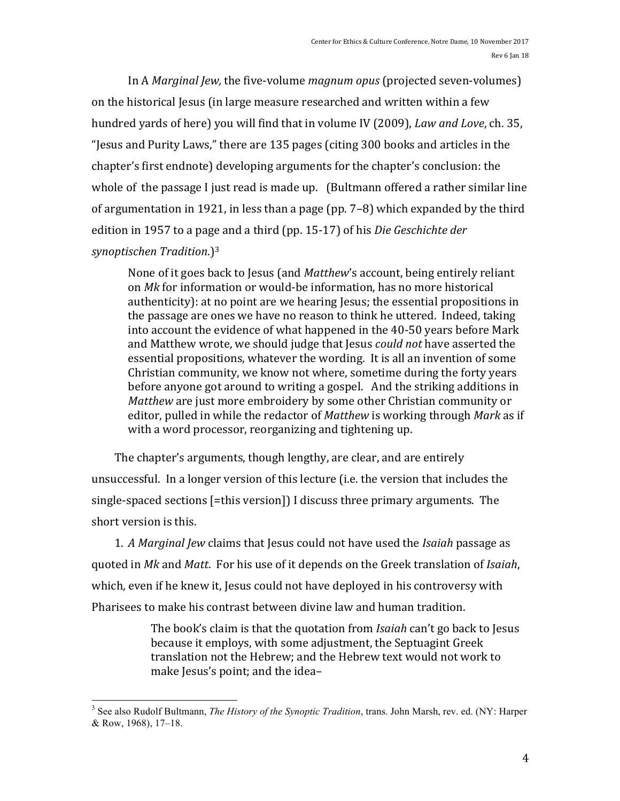In A *Marginal Jew*, the five-volume *magnum opus* (projected seven-volumes) on the historical Jesus (in large measure researched and written within a few hundred yards of here) you will find that in volume IV (2009), *Law and Love*, ch. 35, "Jesus and Purity Laws," there are 135 pages (citing 300 books and articles in the chapter's first endnote) developing arguments for the chapter's conclusion: the whole of the passage I just read is made up. (Bultmann offered a rather similar line of argumentation in 1921, in less than a page (pp.  $7-8$ ) which expanded by the third edition in 1957 to a page and a third (pp. 15-17) of his *Die Geschichte der* 

*synoptischen Tradition*.)3

None of it goes back to Jesus (and *Matthew's* account, being entirely reliant on Mk for information or would-be information, has no more historical authenticity): at no point are we hearing Jesus; the essential propositions in the passage are ones we have no reason to think he uttered. Indeed, taking into account the evidence of what happened in the 40-50 years before Mark and Matthew wrote, we should judge that Jesus *could not* have asserted the essential propositions, whatever the wording. It is all an invention of some Christian community, we know not where, sometime during the forty years before anyone got around to writing a gospel. And the striking additions in *Matthew* are just more embroidery by some other Christian community or editor, pulled in while the redactor of *Matthew* is working through *Mark* as if with a word processor, reorganizing and tightening up.

The chapter's arguments, though lengthy, are clear, and are entirely unsuccessful. In a longer version of this lecture (i.e. the version that includes the single-spaced sections [=this version]) I discuss three primary arguments. The short version is this.

1. *A Marginal Jew* claims that Jesus could not have used the *Isaiah* passage as quoted in *Mk* and *Matt*. For his use of it depends on the Greek translation of *Isaiah*, which, even if he knew it, Jesus could not have deployed in his controversy with Pharisees to make his contrast between divine law and human tradition.

> The book's claim is that the quotation from *Isaiah* can't go back to Jesus because it employs, with some adjustment, the Septuagint Greek translation not the Hebrew; and the Hebrew text would not work to make Jesus's point; and the idea-

 <sup>3</sup> See also Rudolf Bultmann, *The History of the Synoptic Tradition*, trans. John Marsh, rev. ed. (NY: Harper & Row, 1968), 17–18.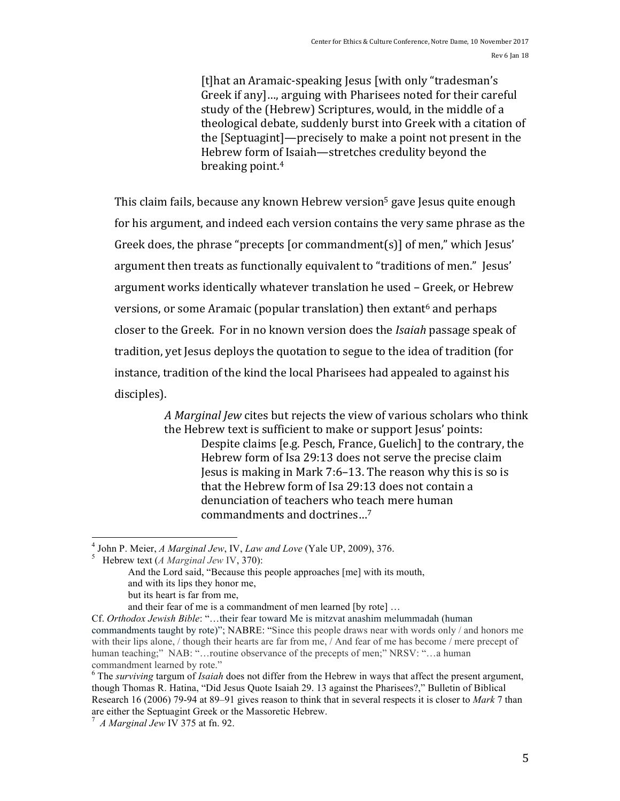[t]hat an Aramaic-speaking Jesus [with only "tradesman's Greek if any]..., arguing with Pharisees noted for their careful study of the (Hebrew) Scriptures, would, in the middle of a theological debate, suddenly burst into Greek with a citation of the [Septuagint]—precisely to make a point not present in the Hebrew form of Isaiah—stretches credulity beyond the breaking point.<sup>4</sup>

This claim fails, because any known Hebrew version<sup>5</sup> gave Jesus quite enough for his argument, and indeed each version contains the very same phrase as the Greek does, the phrase "precepts [or commandment(s)] of men," which Jesus' argument then treats as functionally equivalent to "traditions of men." Jesus' argument works identically whatever translation he used - Greek, or Hebrew versions, or some Aramaic (popular translation) then extant<sup>6</sup> and perhaps closer to the Greek. For in no known version does the *Isaiah* passage speak of tradition, vet Jesus deploys the quotation to segue to the idea of tradition (for instance, tradition of the kind the local Pharisees had appealed to against his disciples).

> *A* Marginal Jew cites but rejects the view of various scholars who think the Hebrew text is sufficient to make or support Jesus' points: Despite claims [e.g. Pesch, France, Guelich] to the contrary, the Hebrew form of Isa 29:13 does not serve the precise claim Jesus is making in Mark  $7:6-13$ . The reason why this is so is that the Hebrew form of Isa 29:13 does not contain a denunciation of teachers who teach mere human commandments and doctrines...<sup>7</sup>

<sup>&</sup>lt;sup>4</sup> John P. Meier, *A Marginal Jew*, IV, *Law and Love* (Yale UP, 2009), 376.

Hebrew text (*A Marginal Jew* IV, 370):

And the Lord said, "Because this people approaches [me] with its mouth, and with its lips they honor me, but its heart is far from me,

and their fear of me is a commandment of men learned [by rote] …

Cf. *Orthodox Jewish Bible*: "…their fear toward Me is mitzvat anashim melummadah (human commandments taught by rote)"; NABRE: "Since this people draws near with words only / and honors me with their lips alone, / though their hearts are far from me, / And fear of me has become / mere precept of human teaching;" NAB: "...routine observance of the precepts of men;" NRSV: "...a human commandment learned by rote." <sup>6</sup> The *surviving* targum of *Isaiah* does not differ from the Hebrew in ways that affect the present argument,

though Thomas R. Hatina, "Did Jesus Quote Isaiah 29. 13 against the Pharisees?," Bulletin of Biblical Research 16 (2006) 79-94 at 89–91 gives reason to think that in several respects it is closer to *Mark* 7 than are either the Septuagint Greek or the Massoretic Hebrew.

<sup>7</sup> *A Marginal Jew* IV 375 at fn. 92.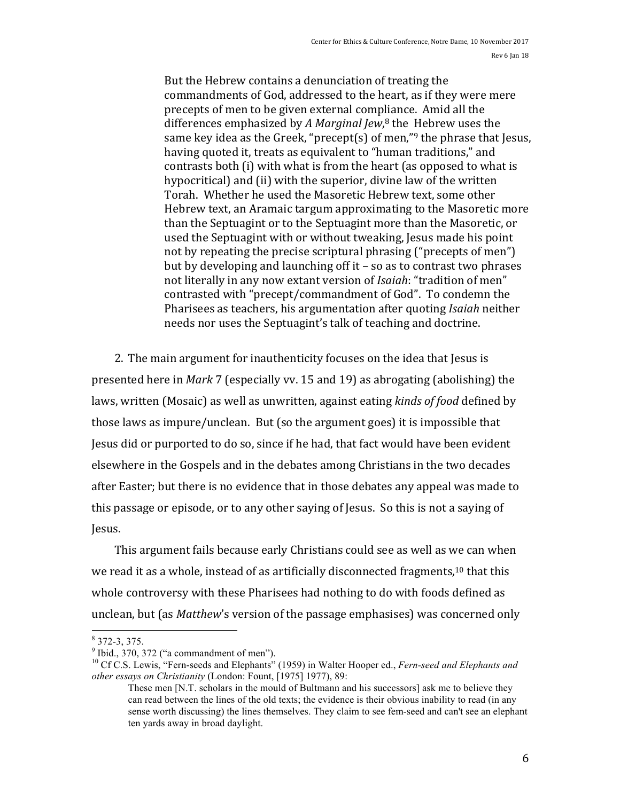But the Hebrew contains a denunciation of treating the commandments of God, addressed to the heart, as if they were mere precepts of men to be given external compliance. Amid all the differences emphasized by *A Marginal Jew*,<sup>8</sup> the Hebrew uses the same key idea as the Greek, "precept(s) of men,"<sup>9</sup> the phrase that Jesus, having quoted it, treats as equivalent to "human traditions," and contrasts both (i) with what is from the heart (as opposed to what is hypocritical) and (ii) with the superior, divine law of the written Torah. Whether he used the Masoretic Hebrew text, some other Hebrew text, an Aramaic targum approximating to the Masoretic more than the Septuagint or to the Septuagint more than the Masoretic, or used the Septuagint with or without tweaking, Jesus made his point not by repeating the precise scriptural phrasing ("precepts of men") but by developing and launching off it  $-$  so as to contrast two phrases not literally in any now extant version of *Isaiah*: "tradition of men" contrasted with "precept/commandment of God". To condemn the Pharisees as teachers, his argumentation after quoting *Isaiah* neither needs nor uses the Septuagint's talk of teaching and doctrine.

2. The main argument for inauthenticity focuses on the idea that Jesus is presented here in *Mark* 7 (especially vv. 15 and 19) as abrogating (abolishing) the laws, written (Mosaic) as well as unwritten, against eating *kinds of food* defined by those laws as impure/unclean. But (so the argument goes) it is impossible that Jesus did or purported to do so, since if he had, that fact would have been evident elsewhere in the Gospels and in the debates among Christians in the two decades after Easter; but there is no evidence that in those debates any appeal was made to this passage or episode, or to any other saying of Jesus. So this is not a saying of Jesus.

This argument fails because early Christians could see as well as we can when we read it as a whole, instead of as artificially disconnected fragments,<sup>10</sup> that this whole controversy with these Pharisees had nothing to do with foods defined as unclean, but (as *Matthew's* version of the passage emphasises) was concerned only

 $\frac{8}{9}$  372-3, 375.<br> $\frac{9}{9}$  Ibid., 370, 372 ("a commandment of men").

<sup>10</sup> Cf C.S. Lewis, "Fern-seeds and Elephants" (1959) in Walter Hooper ed., *Fern-seed and Elephants and other essays on Christianity* (London: Fount, [1975] 1977), 89:

These men [N.T. scholars in the mould of Bultmann and his successors] ask me to believe they can read between the lines of the old texts; the evidence is their obvious inability to read (in any sense worth discussing) the lines themselves. They claim to see fem-seed and can't see an elephant ten yards away in broad daylight.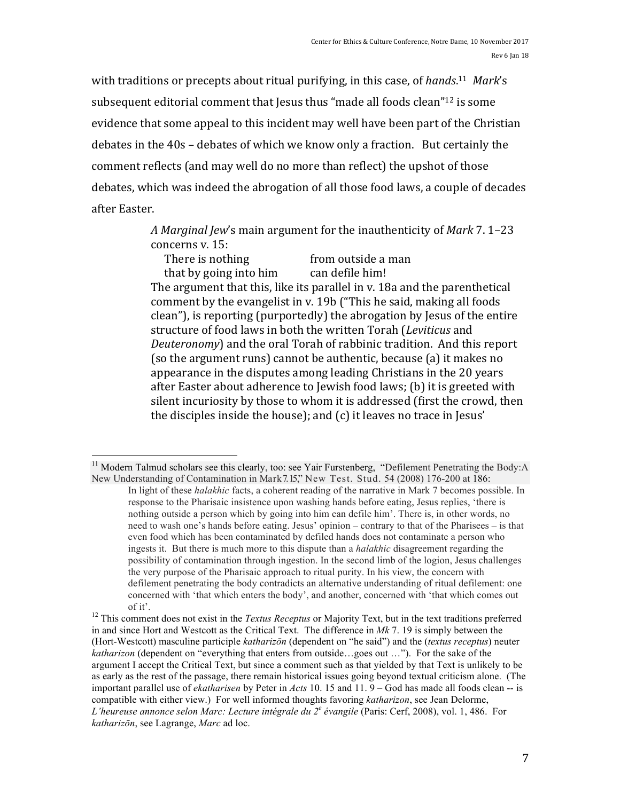with traditions or precepts about ritual purifying, in this case, of *hands*.<sup>11</sup> Mark's subsequent editorial comment that Jesus thus "made all foods clean"<sup>12</sup> is some evidence that some appeal to this incident may well have been part of the Christian debates in the  $40s$  – debates of which we know only a fraction. But certainly the comment reflects (and may well do no more than reflect) the upshot of those debates, which was indeed the abrogation of all those food laws, a couple of decades after Easter.

> A *Marginal Jew's* main argument for the inauthenticity of *Mark* 7.1–23 concerns v. 15:

There is nothing from outside a man that by going into him can defile him! The argument that this, like its parallel in v. 18a and the parenthetical comment by the evangelist in y. 19b ("This he said, making all foods clean"), is reporting (purportedly) the abrogation by Jesus of the entire structure of food laws in both the written Torah (*Leviticus* and *Deuteronomy*) and the oral Torah of rabbinic tradition. And this report (so the argument runs) cannot be authentic, because (a) it makes no appearance in the disputes among leading Christians in the 20 years after Easter about adherence to Jewish food laws;  $(b)$  it is greeted with silent incuriosity by those to whom it is addressed (first the crowd, then the disciples inside the house); and  $(c)$  it leaves no trace in Jesus'

 $11$  Modern Talmud scholars see this clearly, too: see Yair Furstenberg, "Defilement Penetrating the Body: A New Understanding of Contamination in Mark 7.15," New Test. Stud. 54 (2008) 176-200 at 186:

In light of these *halakhic* facts, a coherent reading of the narrative in Mark 7 becomes possible. In response to the Pharisaic insistence upon washing hands before eating, Jesus replies, 'there is nothing outside a person which by going into him can defile him'. There is, in other words, no need to wash one's hands before eating. Jesus' opinion – contrary to that of the Pharisees – is that even food which has been contaminated by defiled hands does not contaminate a person who ingests it. But there is much more to this dispute than a *halakhic* disagreement regarding the possibility of contamination through ingestion. In the second limb of the logion, Jesus challenges the very purpose of the Pharisaic approach to ritual purity. In his view, the concern with defilement penetrating the body contradicts an alternative understanding of ritual defilement: one concerned with 'that which enters the body', and another, concerned with 'that which comes out

of it'. <sup>12</sup> This comment does not exist in the *Textus Receptus* or Majority Text, but in the text traditions preferred in and since Hort and Westcott as the Critical Text. The difference in *Mk* 7. 19 is simply between the (Hort-Westcott) masculine participle *katharizōn* (dependent on "he said") and the (*textus receptus*) neuter *katharizon* (dependent on "everything that enters from outside…goes out …"). For the sake of the argument I accept the Critical Text, but since a comment such as that yielded by that Text is unlikely to be as early as the rest of the passage, there remain historical issues going beyond textual criticism alone. (The important parallel use of *ekatharisen* by Peter in *Acts* 10. 15 and 11. 9 – God has made all foods clean -- is compatible with either view.) For well informed thoughts favoring *katharizon*, see Jean Delorme, *L'heureuse annonce selon Marc: Lecture intégrale du 2<sup>e</sup> évangile* (Paris: Cerf, 2008), vol. 1, 486. For *katharizōn*, see Lagrange, *Marc* ad loc.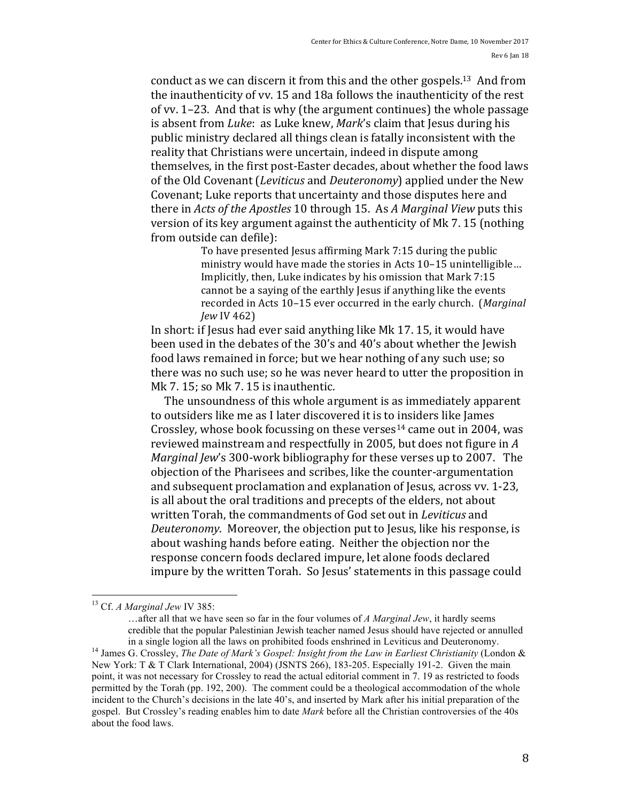conduct as we can discern it from this and the other gospels.<sup>13</sup> And from the inauthenticity of vy. 15 and 18a follows the inauthenticity of the rest of vv.  $1-23$ . And that is why (the argument continues) the whole passage is absent from *Luke*: as Luke knew, *Mark's* claim that Jesus during his public ministry declared all things clean is fatally inconsistent with the reality that Christians were uncertain, indeed in dispute among themselves, in the first post-Easter decades, about whether the food laws of the Old Covenant (*Leviticus* and *Deuteronomy*) applied under the New Covenant; Luke reports that uncertainty and those disputes here and there in *Acts of the Apostles* 10 through 15. As *A Marginal View* puts this version of its key argument against the authenticity of Mk 7.15 (nothing from outside can defile):

> To have presented Jesus affirming Mark 7:15 during the public ministry would have made the stories in Acts 10-15 unintelligible... Implicitly, then, Luke indicates by his omission that Mark 7:15 cannot be a saying of the earthly Jesus if anything like the events recorded in Acts 10-15 ever occurred in the early church. (Marginal *Jew* IV 462)

In short: if Jesus had ever said anything like Mk 17. 15, it would have been used in the debates of the 30's and 40's about whether the Jewish food laws remained in force; but we hear nothing of any such use; so there was no such use; so he was never heard to utter the proposition in Mk  $7.15$ ; so Mk  $7.15$  is inauthentic.

The unsoundness of this whole argument is as immediately apparent to outsiders like me as I later discovered it is to insiders like James Crossley, whose book focussing on these verses<sup>14</sup> came out in 2004, was reviewed mainstream and respectfully in 2005, but does not figure in A *Marginal Jew's* 300-work bibliography for these verses up to 2007. The objection of the Pharisees and scribes, like the counter-argumentation and subsequent proclamation and explanation of Jesus, across vv. 1-23, is all about the oral traditions and precepts of the elders, not about written Torah, the commandments of God set out in *Leviticus* and *Deuteronomy*. Moreover, the objection put to Jesus, like his response, is about washing hands before eating. Neither the objection nor the response concern foods declared impure, let alone foods declared impure by the written Torah. So Jesus' statements in this passage could

 <sup>13</sup> Cf. *A Marginal Jew* IV 385:

<sup>…</sup>after all that we have seen so far in the four volumes of *A Marginal Jew*, it hardly seems credible that the popular Palestinian Jewish teacher named Jesus should have rejected or annulled in a single logion all the laws on prohibited foods enshrined in Leviticus and Deuteronomy. <sup>14</sup> James G. Crossley, *The Date of Mark's Gospel: Insight from the Law in Earliest Christianity* (London &

New York: T & T Clark International, 2004) (JSNTS 266), 183-205. Especially 191-2. Given the main point, it was not necessary for Crossley to read the actual editorial comment in 7. 19 as restricted to foods permitted by the Torah (pp. 192, 200). The comment could be a theological accommodation of the whole incident to the Church's decisions in the late 40's, and inserted by Mark after his initial preparation of the gospel. But Crossley's reading enables him to date *Mark* before all the Christian controversies of the 40s about the food laws.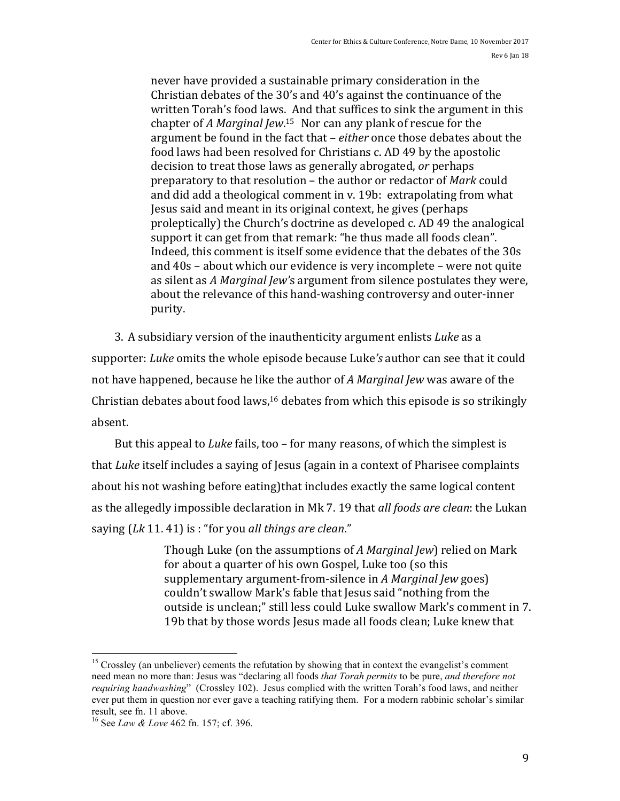never have provided a sustainable primary consideration in the Christian debates of the 30's and 40's against the continuance of the written Torah's food laws. And that suffices to sink the argument in this chapter of *A Marginal Jew*.<sup>15</sup> Nor can any plank of rescue for the argument be found in the fact that – *either* once those debates about the food laws had been resolved for Christians c. AD 49 by the apostolic decision to treat those laws as generally abrogated, *or* perhaps preparatory to that resolution – the author or redactor of *Mark* could and did add a theological comment in v. 19b: extrapolating from what Jesus said and meant in its original context, he gives (perhaps proleptically) the Church's doctrine as developed c. AD 49 the analogical support it can get from that remark: "he thus made all foods clean". Indeed, this comment is itself some evidence that the debates of the 30s and  $40s$  – about which our evidence is very incomplete – were not quite as silent as *A Marginal Jew's* argument from silence postulates they were, about the relevance of this hand-washing controversy and outer-inner purity.

3. A subsidiary version of the inauthenticity argument enlists *Luke* as a supporter: *Luke* omits the whole episode because Luke's author can see that it could not have happened, because he like the author of *A Marginal Jew* was aware of the Christian debates about food laws, $16$  debates from which this episode is so strikingly absent. 

But this appeal to *Luke* fails, too – for many reasons, of which the simplest is that *Luke* itself includes a saying of Jesus (again in a context of Pharisee complaints about his not washing before eating that includes exactly the same logical content as the allegedly impossible declaration in Mk 7. 19 that *all foods are clean*: the Lukan saying (Lk 11. 41) is : "for you all things are clean."

> Though Luke (on the assumptions of *A Marginal Jew*) relied on Mark for about a quarter of his own Gospel, Luke too (so this supplementary argument-from-silence in *A Marginal Jew* goes) couldn't swallow Mark's fable that Jesus said "nothing from the outside is unclean:" still less could Luke swallow Mark's comment in 7. 19b that by those words Jesus made all foods clean; Luke knew that

<sup>&</sup>lt;sup>15</sup> Crossley (an unbeliever) cements the refutation by showing that in context the evangelist's comment need mean no more than: Jesus was "declaring all foods *that Torah permits* to be pure, *and therefore not requiring handwashing*" (Crossley 102). Jesus complied with the written Torah's food laws, and neither ever put them in question nor ever gave a teaching ratifying them. For a modern rabbinic scholar's similar

<sup>&</sup>lt;sup>16</sup> See *Law & Love* 462 fn. 157; cf. 396.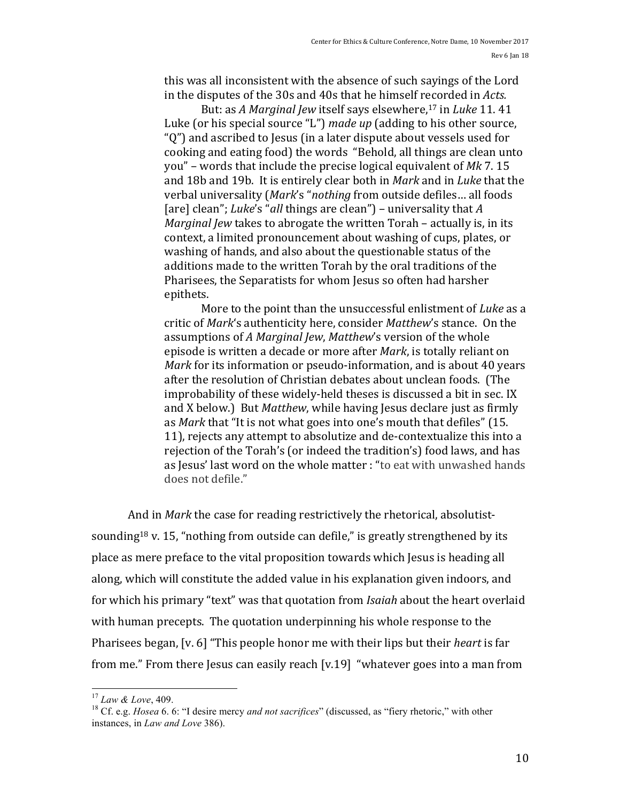this was all inconsistent with the absence of such sayings of the Lord in the disputes of the 30s and 40s that he himself recorded in *Acts.* 

But: as *A Marginal Jew* itself says elsewhere,<sup>17</sup> in *Luke* 11. 41 Luke (or his special source "L") *made up* (adding to his other source, " $Q$ ") and ascribed to Jesus (in a later dispute about vessels used for cooking and eating food) the words "Behold, all things are clean unto you" – words that include the precise logical equivalent of Mk 7.15 and 18b and 19b. It is entirely clear both in *Mark* and in *Luke* that the verbal universality (Mark's "nothing from outside defiles... all foods [are] clean"; *Luke's* "*all* things are clean") – universality that *A Marginal Jew* takes to abrogate the written Torah – actually is, in its context, a limited pronouncement about washing of cups, plates, or washing of hands, and also about the questionable status of the additions made to the written Torah by the oral traditions of the Pharisees, the Separatists for whom Jesus so often had harsher epithets. 

More to the point than the unsuccessful enlistment of *Luke* as a critic of *Mark's* authenticity here, consider *Matthew's* stance. On the assumptions of *A Marginal Jew, Matthew's* version of the whole episode is written a decade or more after *Mark*, is totally reliant on *Mark* for its information or pseudo-information, and is about 40 years after the resolution of Christian debates about unclean foods. (The improbability of these widely-held theses is discussed a bit in sec. IX and X below.) But *Matthew*, while having Jesus declare just as firmly as *Mark* that "It is not what goes into one's mouth that defiles" (15. 11), rejects any attempt to absolutize and de-contextualize this into a rejection of the Torah's (or indeed the tradition's) food laws, and has as Jesus' last word on the whole matter : "to eat with unwashed hands does not defile."

And in *Mark* the case for reading restrictively the rhetorical, absolutistsounding<sup>18</sup> v. 15, "nothing from outside can defile," is greatly strengthened by its place as mere preface to the vital proposition towards which Jesus is heading all along, which will constitute the added value in his explanation given indoors, and for which his primary "text" was that quotation from *Isaiah* about the heart overlaid with human precepts. The quotation underpinning his whole response to the Pharisees began, [v. 6] "This people honor me with their lips but their *heart* is far from me." From there Jesus can easily reach  $[v.19]$  "whatever goes into a man from

<sup>&</sup>lt;sup>17</sup> *Law & Love*, 409.<br><sup>18</sup> Cf. e.g. *Hosea* 6. 6: "I desire mercy *and not sacrifices*" (discussed, as "fiery rhetoric," with other instances, in *Law and Love* 386).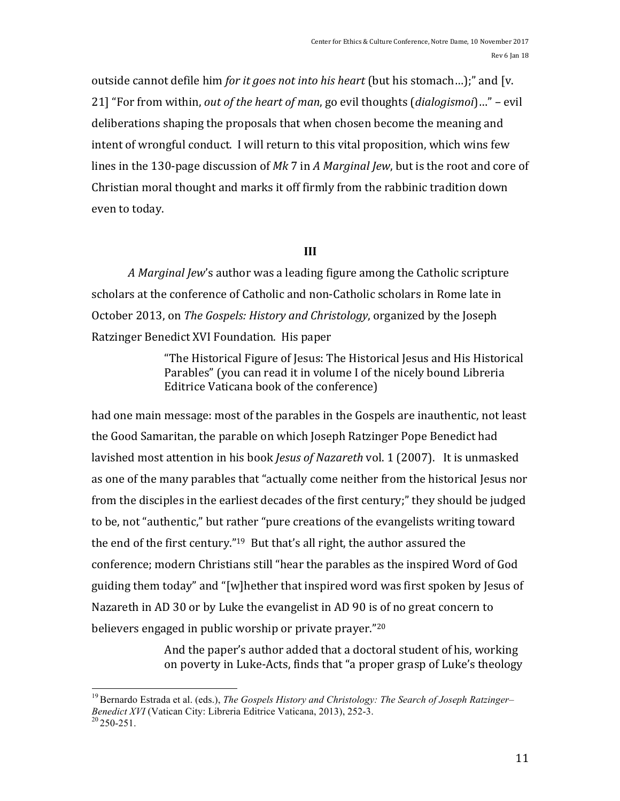outside cannot defile him *for it goes not into his heart* (but his stomach...);" and [v. 21] "For from within, *out of the heart of man*, go evil thoughts (*dialogismoi*)..." – evil deliberations shaping the proposals that when chosen become the meaning and intent of wrongful conduct. I will return to this vital proposition, which wins few lines in the 130-page discussion of Mk 7 in *A Marginal Jew*, but is the root and core of Christian moral thought and marks it off firmly from the rabbinic tradition down even to today.

# **III**

*A Marginal Jew's* author was a leading figure among the Catholic scripture scholars at the conference of Catholic and non-Catholic scholars in Rome late in October 2013, on *The Gospels: History and Christology*, organized by the Joseph Ratzinger Benedict XVI Foundation. His paper

> "The Historical Figure of Jesus: The Historical Jesus and His Historical Parables" (you can read it in volume I of the nicely bound Libreria Editrice Vaticana book of the conference)

had one main message: most of the parables in the Gospels are inauthentic, not least the Good Samaritan, the parable on which Joseph Ratzinger Pope Benedict had lavished most attention in his book *Jesus of Nazareth* vol. 1 (2007). It is unmasked as one of the many parables that "actually come neither from the historical Jesus nor from the disciples in the earliest decades of the first century;" they should be judged to be, not "authentic," but rather "pure creations of the evangelists writing toward the end of the first century."<sup>19</sup> But that's all right, the author assured the conference; modern Christians still "hear the parables as the inspired Word of God guiding them today" and "[w]hether that inspired word was first spoken by Jesus of Nazareth in AD 30 or by Luke the evangelist in AD 90 is of no great concern to believers engaged in public worship or private prayer."<sup>20</sup>

> And the paper's author added that a doctoral student of his, working on poverty in Luke-Acts, finds that "a proper grasp of Luke's theology

 19Bernardo Estrada et al. (eds.), *The Gospels History and Christology: The Search of Joseph Ratzinger– Benedict XVI* (Vatican City: Libreria Editrice Vaticana, 2013), 252-3.<br><sup>20</sup> 250-251.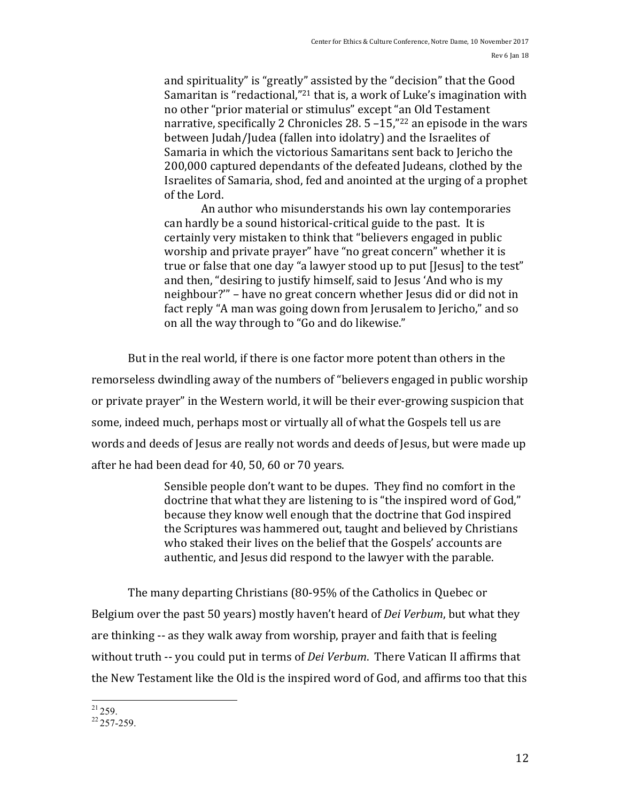and spirituality" is "greatly" assisted by the "decision" that the Good Samaritan is "redactional,"<sup>21</sup> that is, a work of Luke's imagination with no other "prior material or stimulus" except "an Old Testament narrative, specifically 2 Chronicles 28.  $5 - 15$ ,"<sup>22</sup> an episode in the wars between Judah/Judea (fallen into idolatry) and the Israelites of Samaria in which the victorious Samaritans sent back to Jericho the 200,000 captured dependants of the defeated Judeans, clothed by the Israelites of Samaria, shod, fed and anointed at the urging of a prophet of the Lord.

An author who misunderstands his own lay contemporaries can hardly be a sound historical-critical guide to the past. It is certainly very mistaken to think that "believers engaged in public worship and private prayer" have "no great concern" whether it is true or false that one day "a lawyer stood up to put [Jesus] to the test" and then, "desiring to justify himself, said to Jesus 'And who is my neighbour?"' – have no great concern whether Jesus did or did not in fact reply "A man was going down from Jerusalem to Jericho," and so on all the way through to "Go and do likewise."

But in the real world, if there is one factor more potent than others in the remorseless dwindling away of the numbers of "believers engaged in public worship or private prayer" in the Western world, it will be their ever-growing suspicion that some, indeed much, perhaps most or virtually all of what the Gospels tell us are words and deeds of Jesus are really not words and deeds of Jesus, but were made up after he had been dead for 40, 50, 60 or 70 years.

> Sensible people don't want to be dupes. They find no comfort in the doctrine that what they are listening to is "the inspired word of God," because they know well enough that the doctrine that God inspired the Scriptures was hammered out, taught and believed by Christians who staked their lives on the belief that the Gospels' accounts are authentic, and Jesus did respond to the lawyer with the parable.

The many departing Christians (80-95% of the Catholics in Quebec or Belgium over the past 50 years) mostly haven't heard of *Dei Verbum*, but what they are thinking -- as they walk away from worship, prayer and faith that is feeling without truth -- you could put in terms of *Dei Verbum*. There Vatican II affirms that the New Testament like the Old is the inspired word of God, and affirms too that this

 $\frac{21}{259}$ .<br> $\frac{22}{257-259}$ .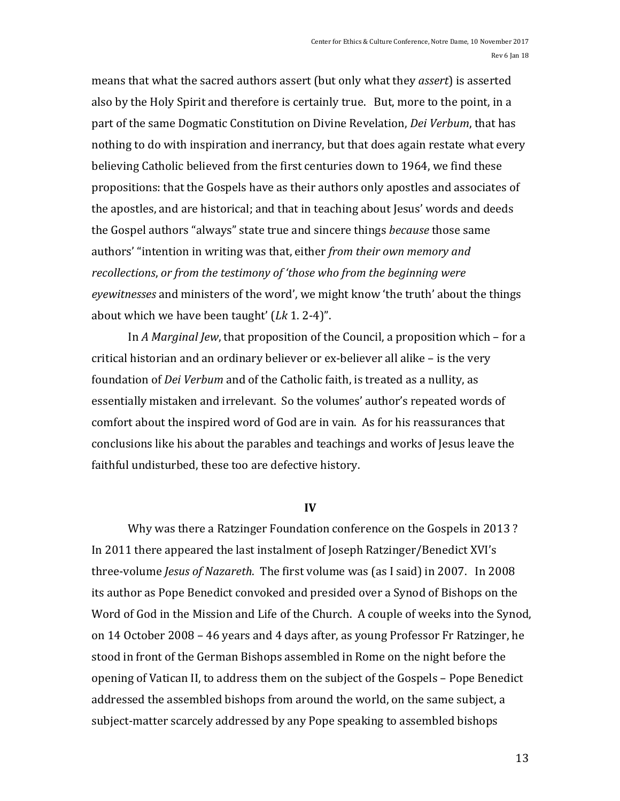means that what the sacred authors assert (but only what they *assert*) is asserted also by the Holy Spirit and therefore is certainly true. But, more to the point, in a part of the same Dogmatic Constitution on Divine Revelation, *Dei Verbum*, that has nothing to do with inspiration and inerrancy, but that does again restate what every believing Catholic believed from the first centuries down to 1964, we find these propositions: that the Gospels have as their authors only apostles and associates of the apostles, and are historical; and that in teaching about Jesus' words and deeds the Gospel authors "always" state true and sincere things *because* those same authors' "intention in writing was that, either *from their own memory and recollections, or from the testimony of 'those who from the beginning were* eyewitnesses and ministers of the word', we might know 'the truth' about the things about which we have been taught'  $(Lk 1. 2-4)$ ".

In *A Marginal Jew*, that proposition of the Council, a proposition which – for a critical historian and an ordinary believer or ex-believer all alike  $-$  is the very foundation of *Dei Verbum* and of the Catholic faith, is treated as a nullity, as essentially mistaken and irrelevant. So the volumes' author's repeated words of comfort about the inspired word of God are in vain. As for his reassurances that conclusions like his about the parables and teachings and works of Jesus leave the faithful undisturbed, these too are defective history.

#### **IV**

Why was there a Ratzinger Foundation conference on the Gospels in 2013? In 2011 there appeared the last instalment of Joseph Ratzinger/Benedict XVI's three-volume *Jesus of Nazareth*. The first volume was (as I said) in 2007. In 2008 its author as Pope Benedict convoked and presided over a Synod of Bishops on the Word of God in the Mission and Life of the Church. A couple of weeks into the Synod, on 14 October 2008 – 46 years and 4 days after, as young Professor Fr Ratzinger, he stood in front of the German Bishops assembled in Rome on the night before the opening of Vatican II, to address them on the subject of the Gospels - Pope Benedict addressed the assembled bishops from around the world, on the same subject, a subject-matter scarcely addressed by any Pope speaking to assembled bishops

13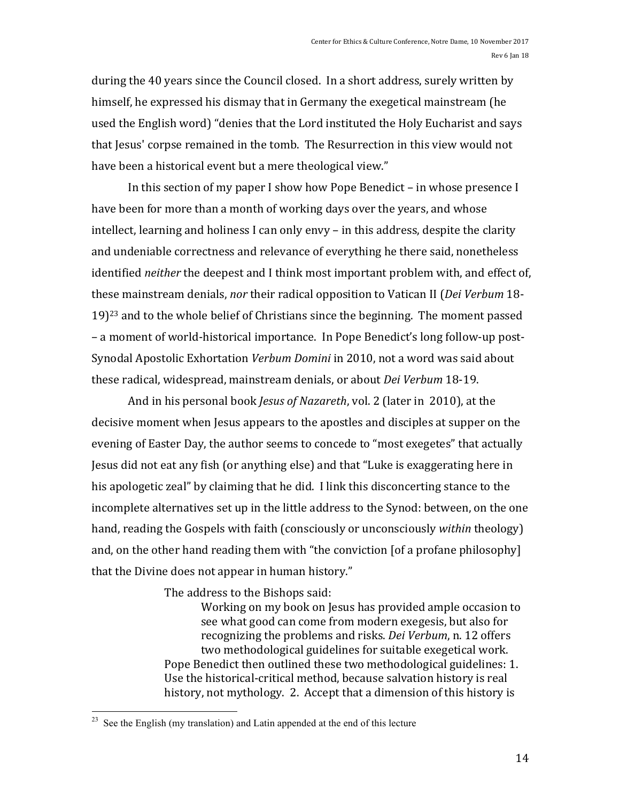during the 40 years since the Council closed. In a short address, surely written by himself, he expressed his dismay that in Germany the exegetical mainstream (he used the English word) "denies that the Lord instituted the Holy Eucharist and says that Jesus' corpse remained in the tomb. The Resurrection in this view would not have been a historical event but a mere theological view."

In this section of my paper I show how Pope Benedict  $-$  in whose presence I have been for more than a month of working days over the years, and whose intellect, learning and holiness I can only envy  $-$  in this address, despite the clarity and undeniable correctness and relevance of everything he there said, nonetheless identified *neither* the deepest and I think most important problem with, and effect of, these mainstream denials, *nor* their radical opposition to Vatican II (*Dei Verbum* 18- $19$ <sup>23</sup> and to the whole belief of Christians since the beginning. The moment passed – a moment of world-historical importance. In Pope Benedict's long follow-up post-Synodal Apostolic Exhortation *Verbum Domini* in 2010, not a word was said about these radical, widespread, mainstream denials, or about *Dei Verbum* 18-19.

And in his personal book *Jesus of Nazareth*, vol. 2 (later in 2010), at the decisive moment when Jesus appears to the apostles and disciples at supper on the evening of Easter Day, the author seems to concede to "most exegetes" that actually Jesus did not eat any fish (or anything else) and that "Luke is exaggerating here in his apologetic zeal" by claiming that he did. I link this disconcerting stance to the incomplete alternatives set up in the little address to the Synod: between, on the one hand, reading the Gospels with faith (consciously or unconsciously *within* theology) and, on the other hand reading them with "the conviction [of a profane philosophy] that the Divine does not appear in human history."

The address to the Bishops said:

Working on my book on Jesus has provided ample occasion to see what good can come from modern exegesis, but also for recognizing the problems and risks. *Dei Verbum*, n. 12 offers two methodological guidelines for suitable exegetical work. Pope Benedict then outlined these two methodological guidelines: 1. Use the historical-critical method, because salvation history is real history, not mythology. 2. Accept that a dimension of this history is

See the English (my translation) and Latin appended at the end of this lecture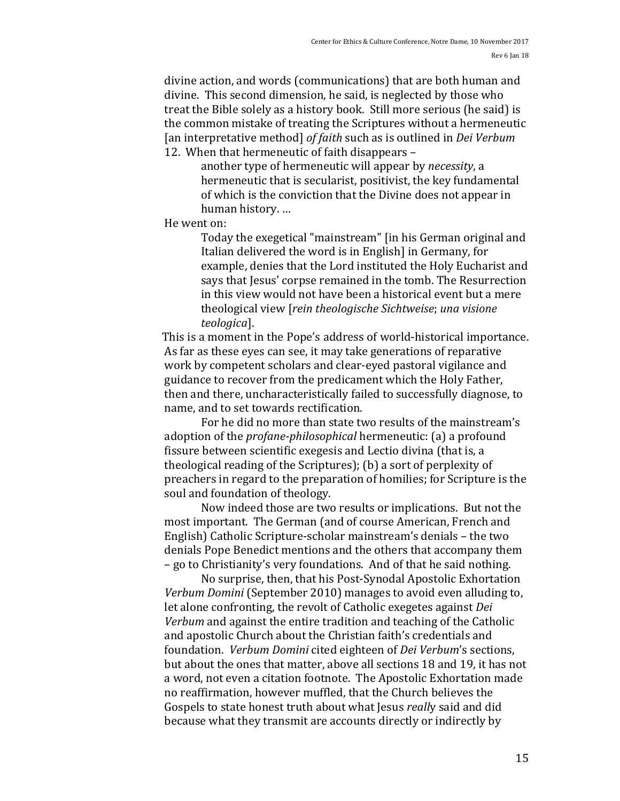divine action, and words (communications) that are both human and divine. This second dimension, he said, is neglected by those who treat the Bible solely as a history book. Still more serious (he said) is the common mistake of treating the Scriptures without a hermeneutic [an interpretative method] of faith such as is outlined in *Dei Verbum* 12. When that hermeneutic of faith disappears -

another type of hermeneutic will appear by *necessity*, a hermeneutic that is secularist, positivist, the key fundamental of which is the conviction that the Divine does not appear in human history. ...

He went on:

Today the exegetical "mainstream" [in his German original and Italian delivered the word is in English] in Germany, for example, denies that the Lord instituted the Holy Eucharist and says that Jesus' corpse remained in the tomb. The Resurrection in this view would not have been a historical event but a mere theological view [*rein theologische Sichtweise*; *una visione teologica*]. 

This is a moment in the Pope's address of world-historical importance. As far as these eves can see, it may take generations of reparative work by competent scholars and clear-eyed pastoral vigilance and guidance to recover from the predicament which the Holy Father, then and there, uncharacteristically failed to successfully diagnose, to name, and to set towards rectification.

For he did no more than state two results of the mainstream's adoption of the *profane-philosophical* hermeneutic: (a) a profound fissure between scientific exegesis and Lectio divina (that is, a theological reading of the Scriptures); (b) a sort of perplexity of preachers in regard to the preparation of homilies; for Scripture is the soul and foundation of theology.

Now indeed those are two results or implications. But not the most important. The German (and of course American, French and English) Catholic Scripture-scholar mainstream's denials – the two denials Pope Benedict mentions and the others that accompany them – go to Christianity's very foundations. And of that he said nothing.

No surprise, then, that his Post-Synodal Apostolic Exhortation *Verbum Domini* (September 2010) manages to avoid even alluding to, let alone confronting, the revolt of Catholic exegetes against *Dei Verbum* and against the entire tradition and teaching of the Catholic and apostolic Church about the Christian faith's credentials and foundation. *Verbum Domini* cited eighteen of *Dei Verbum*'s sections, but about the ones that matter, above all sections 18 and 19, it has not a word, not even a citation footnote. The Apostolic Exhortation made no reaffirmation, however muffled, that the Church believes the Gospels to state honest truth about what Jesus *really* said and did because what they transmit are accounts directly or indirectly by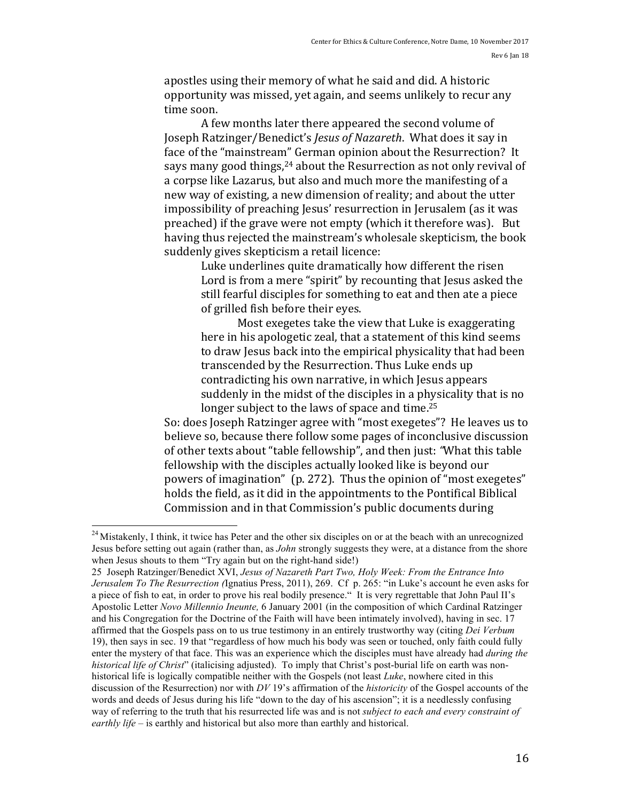apostles using their memory of what he said and did. A historic opportunity was missed, yet again, and seems unlikely to recur any time soon.

A few months later there appeared the second volume of Joseph Ratzinger/Benedict's *Jesus of Nazareth*. What does it say in face of the "mainstream" German opinion about the Resurrection? It says many good things,<sup>24</sup> about the Resurrection as not only revival of a corpse like Lazarus, but also and much more the manifesting of a new way of existing, a new dimension of reality; and about the utter impossibility of preaching Jesus' resurrection in Jerusalem (as it was preached) if the grave were not empty (which it therefore was). But having thus rejected the mainstream's wholesale skepticism, the book suddenly gives skepticism a retail licence:

> Luke underlines quite dramatically how different the risen Lord is from a mere "spirit" by recounting that Jesus asked the still fearful disciples for something to eat and then ate a piece of grilled fish before their eyes.

> Most exegetes take the view that Luke is exaggerating here in his apologetic zeal, that a statement of this kind seems to draw Jesus back into the empirical physicality that had been transcended by the Resurrection. Thus Luke ends up contradicting his own narrative, in which Jesus appears suddenly in the midst of the disciples in a physicality that is no longer subject to the laws of space and time.<sup>25</sup>

So: does Joseph Ratzinger agree with "most exegetes"? He leaves us to believe so, because there follow some pages of inconclusive discussion of other texts about "table fellowship", and then just: "What this table fellowship with the disciples actually looked like is beyond our powers of imagination" (p. 272). Thus the opinion of "most exegetes" holds the field, as it did in the appointments to the Pontifical Biblical Commission and in that Commission's public documents during

25 Joseph Ratzinger/Benedict XVI, *Jesus of Nazareth Part Two, Holy Week: From the Entrance Into Jerusalem To The Resurrection (*Ignatius Press, 2011), 269. Cf p. 265: "in Luke's account he even asks for a piece of fish to eat, in order to prove his real bodily presence." It is very regrettable that John Paul II's Apostolic Letter *Novo Millennio Ineunte,* 6 January 2001 (in the composition of which Cardinal Ratzinger and his Congregation for the Doctrine of the Faith will have been intimately involved), having in sec. 17 affirmed that the Gospels pass on to us true testimony in an entirely trustworthy way (citing *Dei Verbum* 19), then says in sec. 19 that "regardless of how much his body was seen or touched, only faith could fully enter the mystery of that face. This was an experience which the disciples must have already had *during the historical life of Christ*" (italicising adjusted). To imply that Christ's post-burial life on earth was nonhistorical life is logically compatible neither with the Gospels (not least *Luke*, nowhere cited in this discussion of the Resurrection) nor with *DV* 19's affirmation of the *historicity* of the Gospel accounts of the words and deeds of Jesus during his life "down to the day of his ascension"; it is a needlessly confusing way of referring to the truth that his resurrected life was and is not *subject to each and every constraint of earthly life* – is earthly and historical but also more than earthly and historical.

<sup>&</sup>lt;sup>24</sup> Mistakenly, I think, it twice has Peter and the other six disciples on or at the beach with an unrecognized Jesus before setting out again (rather than, as *John* strongly suggests they were, at a distance from the shore when Jesus shouts to them "Try again but on the right-hand side!)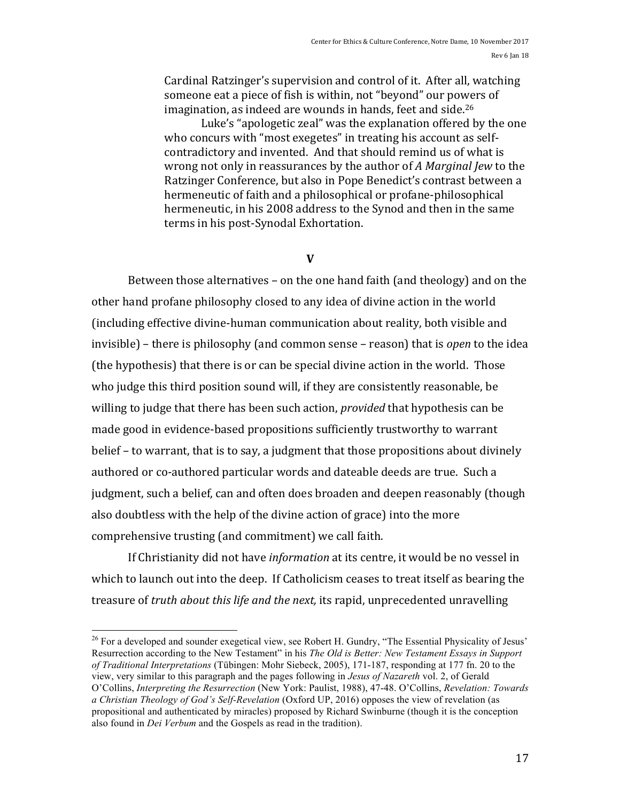Cardinal Ratzinger's supervision and control of it. After all, watching someone eat a piece of fish is within, not "beyond" our powers of imagination, as indeed are wounds in hands, feet and side.<sup>26</sup>

Luke's "apologetic zeal" was the explanation offered by the one who concurs with "most exegetes" in treating his account as selfcontradictory and invented. And that should remind us of what is wrong not only in reassurances by the author of A Marginal Jew to the Ratzinger Conference, but also in Pope Benedict's contrast between a hermeneutic of faith and a philosophical or profane-philosophical hermeneutic, in his 2008 address to the Synod and then in the same terms in his post-Synodal Exhortation.

#### **V**

Between those alternatives – on the one hand faith (and theology) and on the other hand profane philosophy closed to any idea of divine action in the world (including effective divine-human communication about reality, both visible and invisible) – there is philosophy (and common sense – reason) that is *open* to the idea (the hypothesis) that there is or can be special divine action in the world. Those who judge this third position sound will, if they are consistently reasonable, be willing to judge that there has been such action, *provided* that hypothesis can be made good in evidence-based propositions sufficiently trustworthy to warrant belief – to warrant, that is to say, a judgment that those propositions about divinely authored or co-authored particular words and dateable deeds are true. Such a judgment, such a belief, can and often does broaden and deepen reasonably (though also doubtless with the help of the divine action of grace) into the more comprehensive trusting (and commitment) we call faith.

If Christianity did not have *information* at its centre, it would be no vessel in which to launch out into the deep. If Catholicism ceases to treat itself as bearing the treasure of *truth about this life and the next*, its rapid, unprecedented unravelling

<sup>&</sup>lt;sup>26</sup> For a developed and sounder exegetical view, see Robert H. Gundry, "The Essential Physicality of Jesus' Resurrection according to the New Testament" in his *The Old is Better: New Testament Essays in Support of Traditional Interpretations* (Tübingen: Mohr Siebeck, 2005), 171-187, responding at 177 fn. 20 to the view, very similar to this paragraph and the pages following in *Jesus of Nazareth* vol. 2, of Gerald O'Collins, *Interpreting the Resurrection* (New York: Paulist, 1988), 47-48. O'Collins, *Revelation: Towards a Christian Theology of God's Self-Revelation* (Oxford UP, 2016) opposes the view of revelation (as propositional and authenticated by miracles) proposed by Richard Swinburne (though it is the conception also found in *Dei Verbum* and the Gospels as read in the tradition).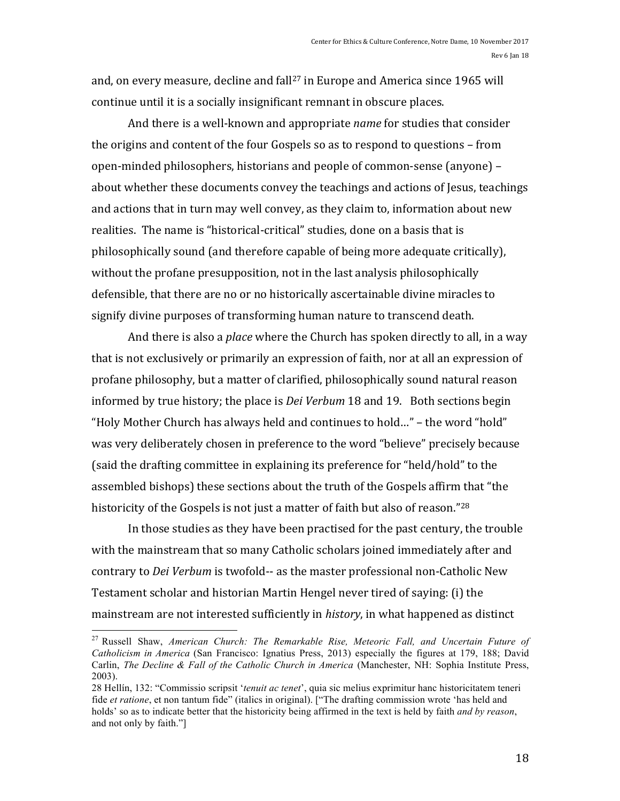and, on every measure, decline and  $fall<sup>27</sup>$  in Europe and America since 1965 will continue until it is a socially insignificant remnant in obscure places.

And there is a well-known and appropriate *name* for studies that consider the origins and content of the four Gospels so as to respond to questions  $-$  from open-minded philosophers, historians and people of common-sense (anyone) – about whether these documents convey the teachings and actions of Jesus, teachings and actions that in turn may well convey, as they claim to, information about new realities. The name is "historical-critical" studies, done on a basis that is philosophically sound (and therefore capable of being more adequate critically), without the profane presupposition, not in the last analysis philosophically defensible, that there are no or no historically ascertainable divine miracles to signify divine purposes of transforming human nature to transcend death.

And there is also a *place* where the Church has spoken directly to all, in a way that is not exclusively or primarily an expression of faith, nor at all an expression of profane philosophy, but a matter of clarified, philosophically sound natural reason informed by true history; the place is *Dei Verbum* 18 and 19. Both sections begin "Holy Mother Church has always held and continues to hold..." - the word "hold" was very deliberately chosen in preference to the word "believe" precisely because (said the drafting committee in explaining its preference for "held/hold" to the assembled bishops) these sections about the truth of the Gospels affirm that "the historicity of the Gospels is not just a matter of faith but also of reason."<sup>28</sup>

In those studies as they have been practised for the past century, the trouble with the mainstream that so many Catholic scholars joined immediately after and contrary to *Dei Verbum* is twofold-- as the master professional non-Catholic New Testament scholar and historian Martin Hengel never tired of saying: (i) the mainstream are not interested sufficiently in *history*, in what happened as distinct

 <sup>27</sup> Russell Shaw, *American Church: The Remarkable Rise, Meteoric Fall, and Uncertain Future of Catholicism in America* (San Francisco: Ignatius Press, 2013) especially the figures at 179, 188; David Carlin, *The Decline & Fall of the Catholic Church in America* (Manchester, NH: Sophia Institute Press, 2003).

<sup>28</sup> Hellín, 132: "Commissio scripsit '*tenuit ac tenet*', quia sic melius exprimitur hanc historicitatem teneri fide *et ratione*, et non tantum fide" (italics in original). ["The drafting commission wrote 'has held and holds' so as to indicate better that the historicity being affirmed in the text is held by faith *and by reason*, and not only by faith."]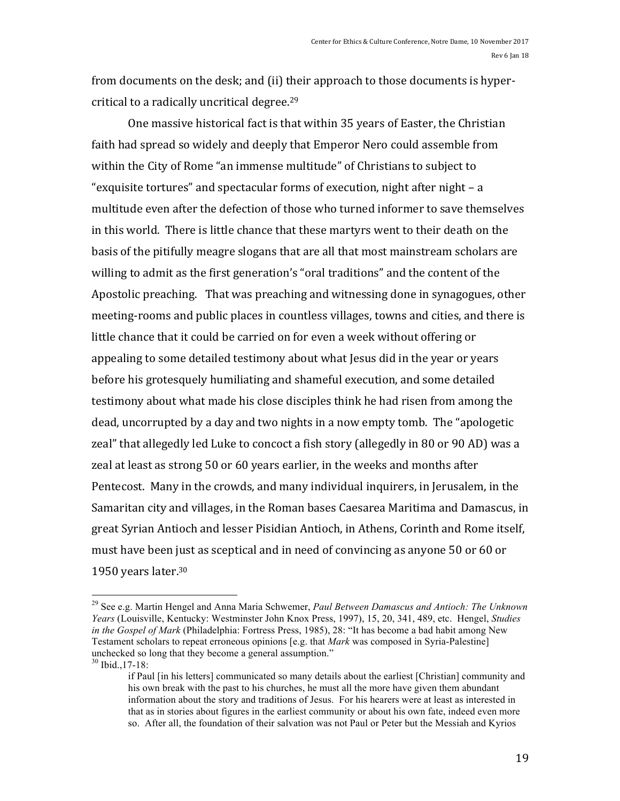from documents on the desk; and (ii) their approach to those documents is hypercritical to a radically uncritical degree.<sup>29</sup>

One massive historical fact is that within 35 years of Easter, the Christian faith had spread so widely and deeply that Emperor Nero could assemble from within the City of Rome "an immense multitude" of Christians to subject to "exquisite tortures" and spectacular forms of execution, night after night  $- a$ multitude even after the defection of those who turned informer to save themselves in this world. There is little chance that these martyrs went to their death on the basis of the pitifully meagre slogans that are all that most mainstream scholars are willing to admit as the first generation's "oral traditions" and the content of the Apostolic preaching. That was preaching and witnessing done in synagogues, other meeting-rooms and public places in countless villages, towns and cities, and there is little chance that it could be carried on for even a week without offering or appealing to some detailed testimony about what Jesus did in the year or years before his grotesquely humiliating and shameful execution, and some detailed testimony about what made his close disciples think he had risen from among the dead, uncorrupted by a day and two nights in a now empty tomb. The "apologetic zeal" that allegedly led Luke to concoct a fish story (allegedly in 80 or 90 AD) was a zeal at least as strong 50 or 60 years earlier, in the weeks and months after Pentecost. Many in the crowds, and many individual inquirers, in Jerusalem, in the Samaritan city and villages, in the Roman bases Caesarea Maritima and Damascus, in great Syrian Antioch and lesser Pisidian Antioch, in Athens, Corinth and Rome itself, must have been just as sceptical and in need of convincing as anyone 50 or 60 or 1950 years later. $30$ 

<sup>30</sup> Ibid.,17-18:

 <sup>29</sup> See e.g. Martin Hengel and Anna Maria Schwemer, *Paul Between Damascus and Antioch: The Unknown Years* (Louisville, Kentucky: Westminster John Knox Press, 1997), 15, 20, 341, 489, etc. Hengel, *Studies in the Gospel of Mark* (Philadelphia: Fortress Press, 1985), 28: "It has become a bad habit among New Testament scholars to repeat erroneous opinions [e.g. that *Mark* was composed in Syria-Palestine] unchecked so long that they become a general assumption."

if Paul [in his letters] communicated so many details about the earliest [Christian] community and his own break with the past to his churches, he must all the more have given them abundant information about the story and traditions of Jesus. For his hearers were at least as interested in that as in stories about figures in the earliest community or about his own fate, indeed even more so. After all, the foundation of their salvation was not Paul or Peter but the Messiah and Kyrios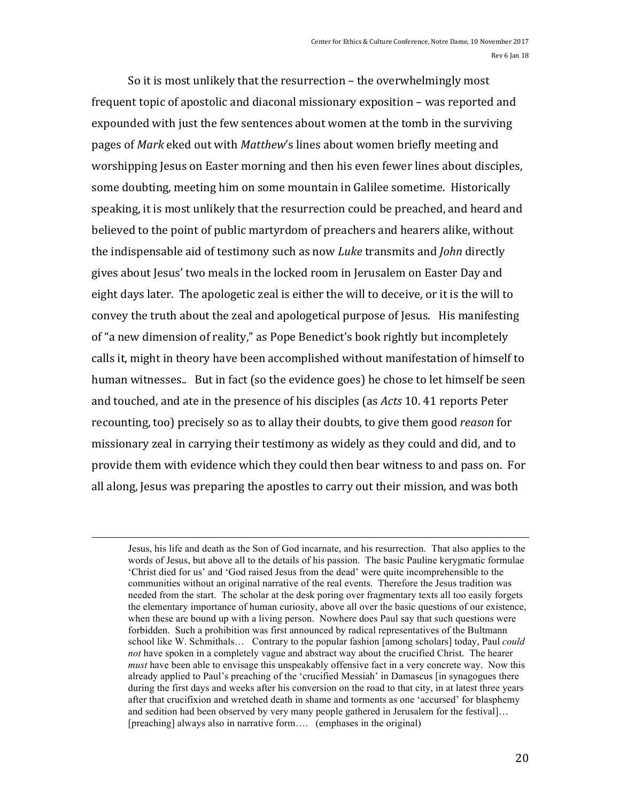So it is most unlikely that the resurrection  $-$  the overwhelmingly most frequent topic of apostolic and diaconal missionary exposition – was reported and expounded with just the few sentences about women at the tomb in the surviving pages of *Mark* eked out with *Matthew*'s lines about women briefly meeting and worshipping Jesus on Easter morning and then his even fewer lines about disciples, some doubting, meeting him on some mountain in Galilee sometime. Historically speaking, it is most unlikely that the resurrection could be preached, and heard and believed to the point of public martyrdom of preachers and hearers alike, without the indispensable aid of testimony such as now *Luke* transmits and *John* directly gives about Jesus' two meals in the locked room in Jerusalem on Easter Day and eight days later. The apologetic zeal is either the will to deceive, or it is the will to convey the truth about the zeal and apologetical purpose of Jesus. His manifesting of "a new dimension of reality," as Pope Benedict's book rightly but incompletely calls it, might in theory have been accomplished without manifestation of himself to human witnesses.. But in fact (so the evidence goes) he chose to let himself be seen and touched, and ate in the presence of his disciples (as *Acts* 10. 41 reports Peter recounting, too) precisely so as to allay their doubts, to give them good *reason* for missionary zeal in carrying their testimony as widely as they could and did, and to provide them with evidence which they could then bear witness to and pass on. For all along, Jesus was preparing the apostles to carry out their mission, and was both

<u> 1989 - Johann Barnett, fransk politik (d. 1989)</u>

Jesus, his life and death as the Son of God incarnate, and his resurrection. That also applies to the words of Jesus, but above all to the details of his passion. The basic Pauline kerygmatic formulae 'Christ died for us' and 'God raised Jesus from the dead' were quite incomprehensible to the communities without an original narrative of the real events. Therefore the Jesus tradition was needed from the start. The scholar at the desk poring over fragmentary texts all too easily forgets the elementary importance of human curiosity, above all over the basic questions of our existence, when these are bound up with a living person. Nowhere does Paul say that such questions were forbidden. Such a prohibition was first announced by radical representatives of the Bultmann school like W. Schmithals… Contrary to the popular fashion [among scholars] today, Paul *could not* have spoken in a completely vague and abstract way about the crucified Christ. The hearer *must* have been able to envisage this unspeakably offensive fact in a very concrete way. Now this already applied to Paul's preaching of the 'crucified Messiah' in Damascus [in synagogues there during the first days and weeks after his conversion on the road to that city, in at latest three years after that crucifixion and wretched death in shame and torments as one 'accursed' for blasphemy and sedition had been observed by very many people gathered in Jerusalem for the festival]… [preaching] always also in narrative form.... (emphases in the original)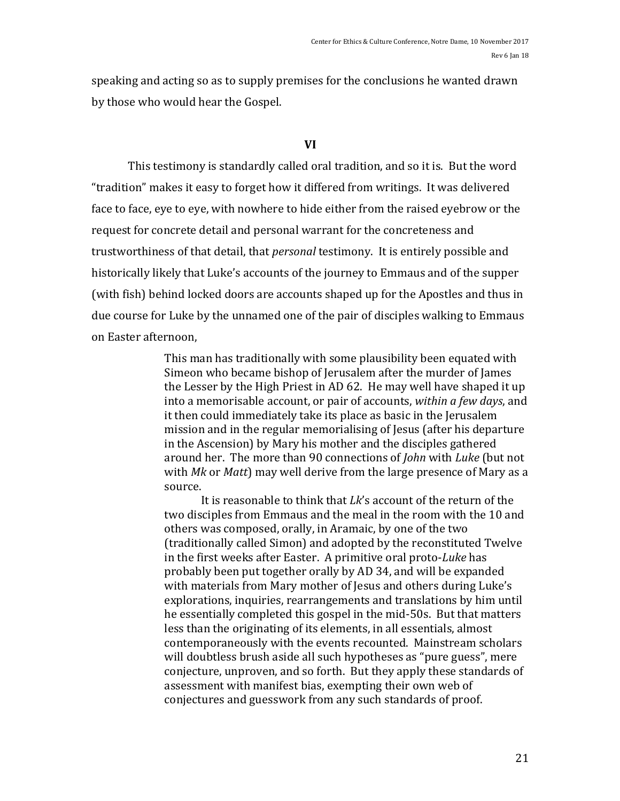speaking and acting so as to supply premises for the conclusions he wanted drawn by those who would hear the Gospel.

## **VI**

This testimony is standardly called oral tradition, and so it is. But the word "tradition" makes it easy to forget how it differed from writings. It was delivered face to face, eye to eye, with nowhere to hide either from the raised eyebrow or the request for concrete detail and personal warrant for the concreteness and trustworthiness of that detail, that *personal* testimony. It is entirely possible and historically likely that Luke's accounts of the journey to Emmaus and of the supper (with fish) behind locked doors are accounts shaped up for the Apostles and thus in due course for Luke by the unnamed one of the pair of disciples walking to Emmaus on Easter afternoon.

> This man has traditionally with some plausibility been equated with Simeon who became bishop of Jerusalem after the murder of James the Lesser by the High Priest in AD 62. He may well have shaped it up into a memorisable account, or pair of accounts, *within a few days*, and it then could immediately take its place as basic in the Jerusalem mission and in the regular memorialising of Jesus (after his departure in the Ascension) by Mary his mother and the disciples gathered around her. The more than 90 connections of *John* with *Luke* (but not with *Mk* or *Matt*) may well derive from the large presence of Mary as a source.

> It is reasonable to think that  $Lk$ 's account of the return of the two disciples from Emmaus and the meal in the room with the 10 and others was composed, orally, in Aramaic, by one of the two (traditionally called Simon) and adopted by the reconstituted Twelve in the first weeks after Easter. A primitive oral proto-Luke has probably been put together orally by AD 34, and will be expanded with materials from Mary mother of Jesus and others during Luke's explorations, inquiries, rearrangements and translations by him until he essentially completed this gospel in the mid-50s. But that matters less than the originating of its elements, in all essentials, almost contemporaneously with the events recounted. Mainstream scholars will doubtless brush aside all such hypotheses as "pure guess", mere conjecture, unproven, and so forth. But they apply these standards of assessment with manifest bias, exempting their own web of conjectures and guesswork from any such standards of proof.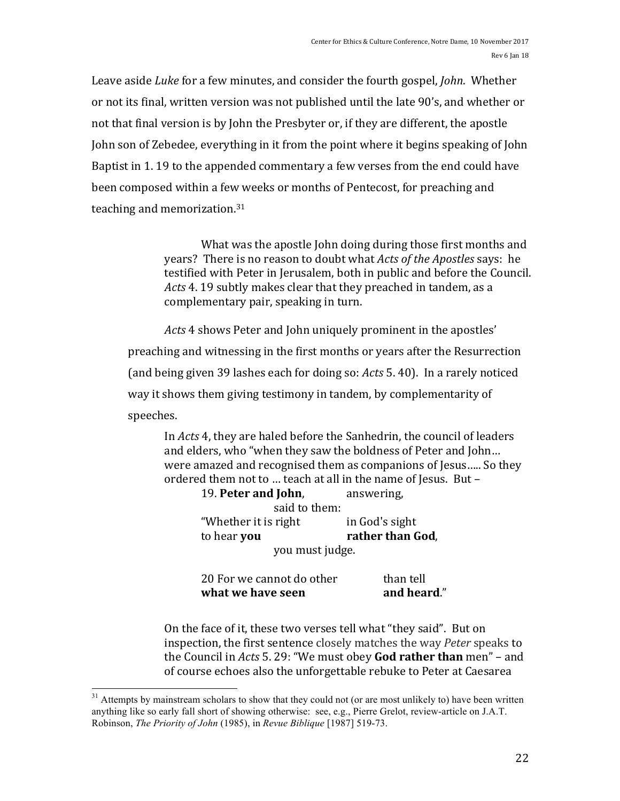Leave aside *Luke* for a few minutes, and consider the fourth gospel, *John*. Whether or not its final, written version was not published until the late 90's, and whether or not that final version is by John the Presbyter or, if they are different, the apostle John son of Zebedee, everything in it from the point where it begins speaking of John Baptist in 1.19 to the appended commentary a few verses from the end could have been composed within a few weeks or months of Pentecost, for preaching and teaching and memorization.<sup>31</sup>

> What was the apostle John doing during those first months and vears? There is no reason to doubt what *Acts of the Apostles* says: he testified with Peter in Jerusalem, both in public and before the Council. *Acts* 4. 19 subtly makes clear that they preached in tandem, as a complementary pair, speaking in turn.

*Acts* 4 shows Peter and John uniquely prominent in the apostles' preaching and witnessing in the first months or years after the Resurrection (and being given 39 lashes each for doing so: *Acts* 5.40). In a rarely noticed way it shows them giving testimony in tandem, by complementarity of speeches. 

In *Acts* 4, they are haled before the Sanhedrin, the council of leaders and elders, who "when they saw the boldness of Peter and John... were amazed and recognised them as companions of Jesus..... So they ordered them not to ... teach at all in the name of Jesus. But -

19. **Peter and John**, answering, said to them: "Whether it is right  $\qquad$  in God's sight **to hear you rather than God**, you must judge.

| what we have seen         | and heard." |
|---------------------------|-------------|
| 20 For we cannot do other | than tell   |

On the face of it, these two verses tell what "they said". But on inspection, the first sentence closely matches the way *Peter* speaks to the Council in *Acts* 5. 29: "We must obey God rather than men" – and of course echoes also the unforgettable rebuke to Peter at Caesarea

<sup>&</sup>lt;sup>31</sup> Attempts by mainstream scholars to show that they could not (or are most unlikely to) have been written anything like so early fall short of showing otherwise: see, e.g., Pierre Grelot, review-article on J.A.T. Robinson, *The Priority of John* (1985), in *Revue Biblique* [1987] 519-73.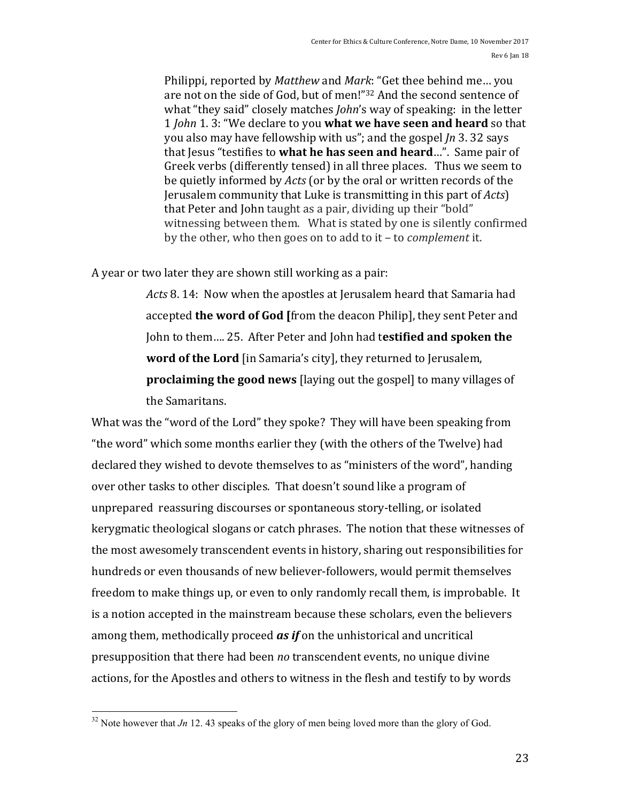Philippi, reported by *Matthew* and *Mark*: "Get thee behind me... you are not on the side of God, but of men!"32 And the second sentence of what "they said" closely matches *John's* way of speaking: in the letter 1 *John* 1. 3: "We declare to you what we have seen and heard so that you also may have fellowship with us"; and the gospel *Jn* 3. 32 says that lesus "testifies to **what he has seen and heard**...". Same pair of Greek verbs (differently tensed) in all three places. Thus we seem to be quietly informed by *Acts* (or by the oral or written records of the Jerusalem community that Luke is transmitting in this part of *Acts*) that Peter and John taught as a pair, dividing up their "bold" witnessing between them. What is stated by one is silently confirmed by the other, who then goes on to add to it – to *complement* it.

A year or two later they are shown still working as a pair:

Acts 8. 14: Now when the apostles at Jerusalem heard that Samaria had accepted **the word of God** [from the deacon Philip], they sent Peter and John to them.... 25. After Peter and John had testified and spoken the **word of the Lord** [in Samaria's city], they returned to Jerusalem, **proclaiming the good news** [laying out the gospel] to many villages of the Samaritans.

What was the "word of the Lord" they spoke? They will have been speaking from "the word" which some months earlier they (with the others of the Twelve) had declared they wished to devote themselves to as "ministers of the word", handing over other tasks to other disciples. That doesn't sound like a program of unprepared reassuring discourses or spontaneous story-telling, or isolated kerygmatic theological slogans or catch phrases. The notion that these witnesses of the most awesomely transcendent events in history, sharing out responsibilities for hundreds or even thousands of new believer-followers, would permit themselves freedom to make things up, or even to only randomly recall them, is improbable. It is a notion accepted in the mainstream because these scholars, even the believers among them, methodically proceed *as* if on the unhistorical and uncritical presupposition that there had been *no* transcendent events, no unique divine actions, for the Apostles and others to witness in the flesh and testify to by words

 $32$  Note however that *Jn* 12. 43 speaks of the glory of men being loved more than the glory of God.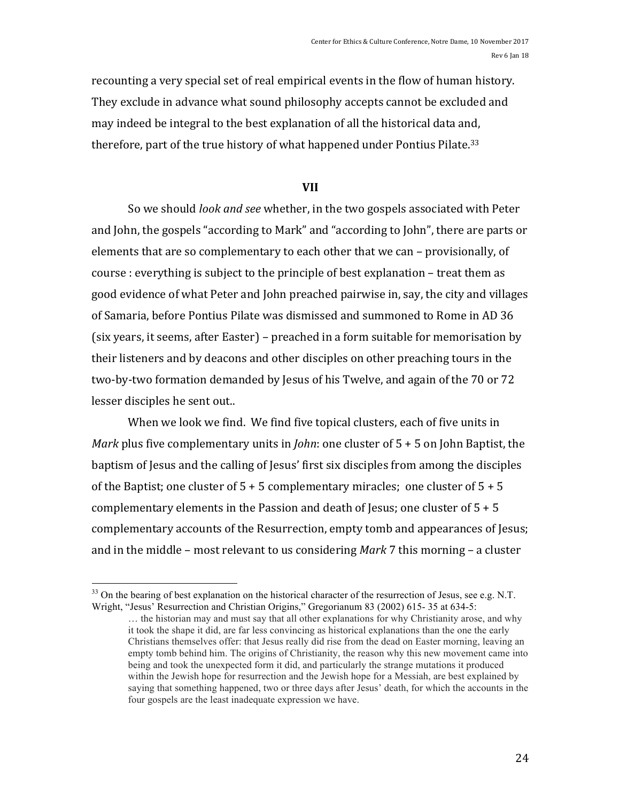recounting a very special set of real empirical events in the flow of human history. They exclude in advance what sound philosophy accepts cannot be excluded and may indeed be integral to the best explanation of all the historical data and, therefore, part of the true history of what happened under Pontius Pilate.<sup>33</sup>

## **VII**

So we should *look and see* whether, in the two gospels associated with Peter and John, the gospels "according to Mark" and "according to John", there are parts or elements that are so complementary to each other that we can – provisionally, of  $course: everything is subject to the principle of best explanation – treat them as$ good evidence of what Peter and John preached pairwise in, say, the city and villages of Samaria, before Pontius Pilate was dismissed and summoned to Rome in AD 36 (six years, it seems, after Easter) – preached in a form suitable for memorisation by their listeners and by deacons and other disciples on other preaching tours in the two-by-two formation demanded by Jesus of his Twelve, and again of the 70 or 72 lesser disciples he sent out..

When we look we find. We find five topical clusters, each of five units in *Mark* plus five complementary units in *John*: one cluster of  $5 + 5$  on John Baptist, the baptism of Jesus and the calling of Jesus' first six disciples from among the disciples of the Baptist; one cluster of  $5 + 5$  complementary miracles; one cluster of  $5 + 5$ complementary elements in the Passion and death of Jesus; one cluster of  $5 + 5$ complementary accounts of the Resurrection, empty tomb and appearances of Jesus; and in the middle – most relevant to us considering *Mark* 7 this morning – a cluster

<sup>&</sup>lt;sup>33</sup> On the bearing of best explanation on the historical character of the resurrection of Jesus, see e.g. N.T. Wright, "Jesus' Resurrection and Christian Origins," Gregorianum 83 (2002) 615- 35 at 634-5:

<sup>…</sup> the historian may and must say that all other explanations for why Christianity arose, and why it took the shape it did, are far less convincing as historical explanations than the one the early Christians themselves offer: that Jesus really did rise from the dead on Easter morning, leaving an empty tomb behind him. The origins of Christianity, the reason why this new movement came into being and took the unexpected form it did, and particularly the strange mutations it produced within the Jewish hope for resurrection and the Jewish hope for a Messiah, are best explained by saying that something happened, two or three days after Jesus' death, for which the accounts in the four gospels are the least inadequate expression we have.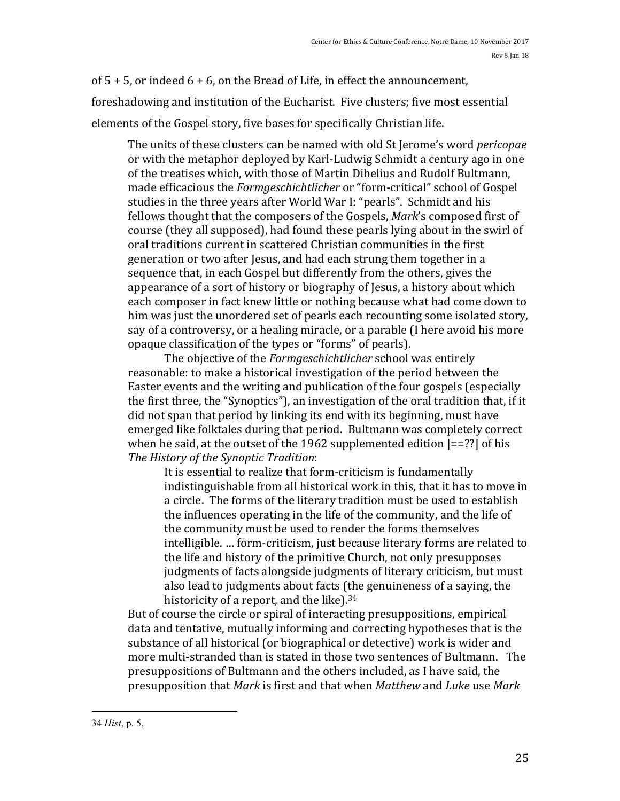of  $5 + 5$ , or indeed  $6 + 6$ , on the Bread of Life, in effect the announcement, foreshadowing and institution of the Eucharist. Five clusters; five most essential elements of the Gospel story, five bases for specifically Christian life.

The units of these clusters can be named with old St Jerome's word *pericopae* or with the metaphor deployed by Karl-Ludwig Schmidt a century ago in one of the treatises which, with those of Martin Dibelius and Rudolf Bultmann, made efficacious the *Formgeschichtlicher* or "form-critical" school of Gospel studies in the three years after World War I: "pearls". Schmidt and his fellows thought that the composers of the Gospels, *Mark's* composed first of course (they all supposed), had found these pearls lying about in the swirl of oral traditions current in scattered Christian communities in the first generation or two after Jesus, and had each strung them together in a sequence that, in each Gospel but differently from the others, gives the appearance of a sort of history or biography of Jesus, a history about which each composer in fact knew little or nothing because what had come down to him was just the unordered set of pearls each recounting some isolated story, say of a controversy, or a healing miracle, or a parable (I here avoid his more opaque classification of the types or "forms" of pearls).

The objective of the *Formgeschichtlicher* school was entirely reasonable: to make a historical investigation of the period between the Easter events and the writing and publication of the four gospels (especially the first three, the "Synoptics"), an investigation of the oral tradition that, if it did not span that period by linking its end with its beginning, must have emerged like folktales during that period. Bultmann was completely correct when he said, at the outset of the 1962 supplemented edition  $[==??]$  of his *The History of the Synoptic Tradition*:

It is essential to realize that form-criticism is fundamentally indistinguishable from all historical work in this, that it has to move in a circle. The forms of the literary tradition must be used to establish the influences operating in the life of the community, and the life of the community must be used to render the forms themselves intelligible. ... form-criticism, just because literary forms are related to the life and history of the primitive Church, not only presupposes judgments of facts alongside judgments of literary criticism, but must also lead to judgments about facts (the genuineness of a saying, the historicity of a report, and the like).<sup>34</sup>

But of course the circle or spiral of interacting presuppositions, empirical data and tentative, mutually informing and correcting hypotheses that is the substance of all historical (or biographical or detective) work is wider and more multi-stranded than is stated in those two sentences of Bultmann. The presuppositions of Bultmann and the others included, as I have said, the presupposition that *Mark* is first and that when *Matthew* and *Luke* use *Mark*

 

<sup>34</sup> *Hist*, p. 5,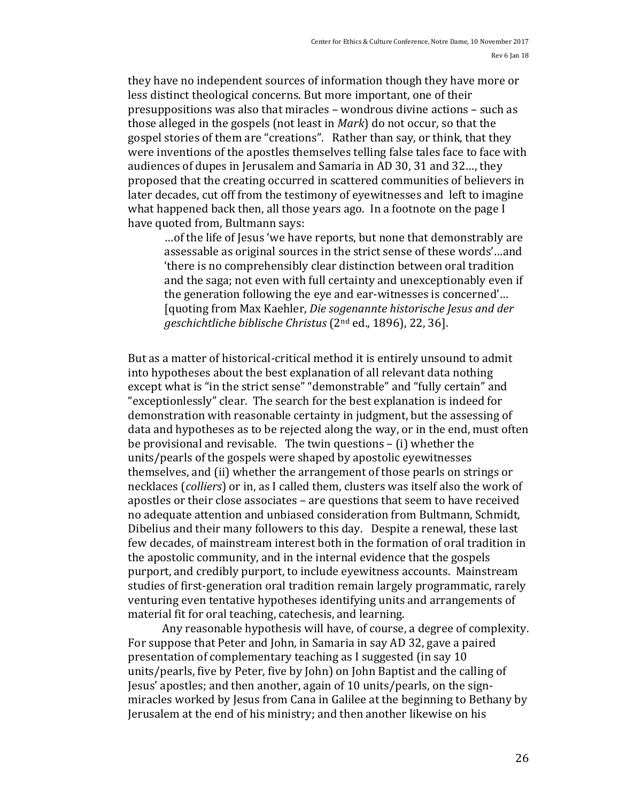they have no independent sources of information though they have more or less distinct theological concerns. But more important, one of their presuppositions was also that miracles – wondrous divine actions – such as those alleged in the gospels (not least in *Mark*) do not occur, so that the gospel stories of them are "creations". Rather than say, or think, that they were inventions of the apostles themselves telling false tales face to face with audiences of dupes in Jerusalem and Samaria in AD 30, 31 and 32..., they proposed that the creating occurred in scattered communities of believers in later decades, cut off from the testimony of eyewitnesses and left to imagine what happened back then, all those years ago. In a footnote on the page  $I$ have quoted from, Bultmann says:

... of the life of Jesus 'we have reports, but none that demonstrably are assessable as original sources in the strict sense of these words'...and 'there is no comprehensibly clear distinction between oral tradition and the saga; not even with full certainty and unexceptionably even if the generation following the eye and ear-witnesses is concerned'... [quoting from Max Kaehler, *Die sogenannte historische Jesus and der geschichtliche biblische Christus* (2<sup>nd</sup> ed., 1896), 22, 36].

But as a matter of historical-critical method it is entirely unsound to admit into hypotheses about the best explanation of all relevant data nothing except what is "in the strict sense" "demonstrable" and "fully certain" and "exceptionlessly" clear. The search for the best explanation is indeed for demonstration with reasonable certainty in judgment, but the assessing of data and hypotheses as to be rejected along the way, or in the end, must often be provisional and revisable. The twin questions  $-$  (i) whether the units/pearls of the gospels were shaped by apostolic eyewitnesses themselves, and (ii) whether the arrangement of those pearls on strings or necklaces (*colliers*) or in, as I called them, clusters was itself also the work of apostles or their close associates - are questions that seem to have received no adequate attention and unbiased consideration from Bultmann, Schmidt, Dibelius and their many followers to this day. Despite a renewal, these last few decades, of mainstream interest both in the formation of oral tradition in the apostolic community, and in the internal evidence that the gospels purport, and credibly purport, to include eyewitness accounts. Mainstream studies of first-generation oral tradition remain largely programmatic, rarely venturing even tentative hypotheses identifying units and arrangements of material fit for oral teaching, catechesis, and learning.

Any reasonable hypothesis will have, of course, a degree of complexity. For suppose that Peter and John, in Samaria in say AD 32, gave a paired presentation of complementary teaching as I suggested (in say 10) units/pearls, five by Peter, five by John) on John Baptist and the calling of Jesus' apostles; and then another, again of 10 units/pearls, on the signmiracles worked by Jesus from Cana in Galilee at the beginning to Bethany by Jerusalem at the end of his ministry; and then another likewise on his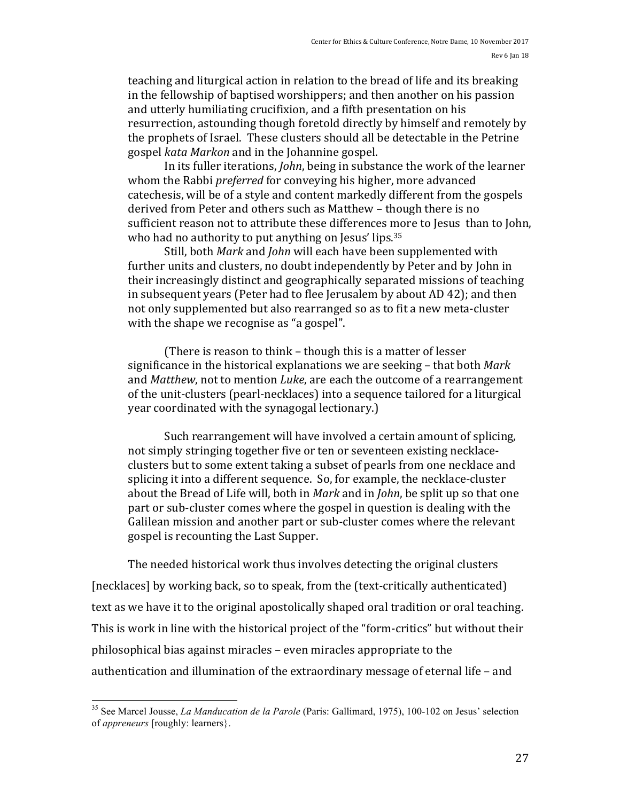teaching and liturgical action in relation to the bread of life and its breaking in the fellowship of baptised worshippers; and then another on his passion and utterly humiliating crucifixion, and a fifth presentation on his resurrection, astounding though foretold directly by himself and remotely by the prophets of Israel. These clusters should all be detectable in the Petrine gospel *kata Markon* and in the Johannine gospel.

In its fuller iterations, *John*, being in substance the work of the learner whom the Rabbi *preferred* for conveying his higher, more advanced catechesis, will be of a style and content markedly different from the gospels derived from Peter and others such as Matthew - though there is no sufficient reason not to attribute these differences more to Jesus than to John, who had no authority to put anything on Jesus' lips.  $35$ 

Still, both *Mark* and *John* will each have been supplemented with further units and clusters, no doubt independently by Peter and by John in their increasingly distinct and geographically separated missions of teaching in subsequent years (Peter had to flee Jerusalem by about AD 42); and then not only supplemented but also rearranged so as to fit a new meta-cluster with the shape we recognise as "a gospel".

(There is reason to think  $-$  though this is a matter of lesser significance in the historical explanations we are seeking – that both *Mark* and *Matthew*, not to mention *Luke*, are each the outcome of a rearrangement of the unit-clusters (pearl-necklaces) into a sequence tailored for a liturgical year coordinated with the synagogal lectionary.)

Such rearrangement will have involved a certain amount of splicing, not simply stringing together five or ten or seventeen existing necklaceclusters but to some extent taking a subset of pearls from one necklace and splicing it into a different sequence. So, for example, the necklace-cluster about the Bread of Life will, both in *Mark* and in *John*, be split up so that one part or sub-cluster comes where the gospel in question is dealing with the Galilean mission and another part or sub-cluster comes where the relevant gospel is recounting the Last Supper.

The needed historical work thus involves detecting the original clusters [necklaces] by working back, so to speak, from the (text-critically authenticated) text as we have it to the original apostolically shaped oral tradition or oral teaching. This is work in line with the historical project of the "form-critics" but without their philosophical bias against miracles – even miracles appropriate to the authentication and illumination of the extraordinary message of eternal life - and

 <sup>35</sup> See Marcel Jousse, *La Manducation de la Parole* (Paris: Gallimard, 1975), 100-102 on Jesus' selection of *appreneurs* [roughly: learners}.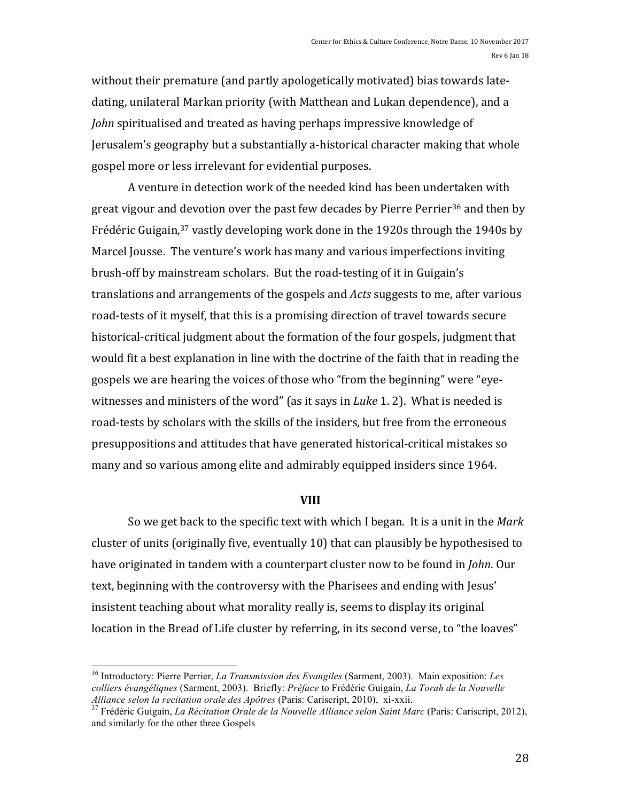without their premature (and partly apologetically motivated) bias towards latedating, unilateral Markan priority (with Matthean and Lukan dependence), and a *John* spiritualised and treated as having perhaps impressive knowledge of Jerusalem's geography but a substantially a-historical character making that whole gospel more or less irrelevant for evidential purposes.

A venture in detection work of the needed kind has been undertaken with great vigour and devotion over the past few decades by Pierre Perrier<sup>36</sup> and then by Frédéric Guigain,<sup>37</sup> vastly developing work done in the 1920s through the 1940s by Marcel Jousse. The venture's work has many and various imperfections inviting brush-off by mainstream scholars. But the road-testing of it in Guigain's translations and arrangements of the gospels and *Acts* suggests to me, after various road-tests of it myself, that this is a promising direction of travel towards secure historical-critical judgment about the formation of the four gospels, judgment that would fit a best explanation in line with the doctrine of the faith that in reading the gospels we are hearing the voices of those who "from the beginning" were "eyewitnesses and ministers of the word" (as it says in *Luke* 1. 2). What is needed is road-tests by scholars with the skills of the insiders, but free from the erroneous presuppositions and attitudes that have generated historical-critical mistakes so many and so various among elite and admirably equipped insiders since 1964.

#### **VIII**

So we get back to the specific text with which I began. It is a unit in the *Mark* cluster of units (originally five, eventually 10) that can plausibly be hypothesised to have originated in tandem with a counterpart cluster now to be found in *John*. Our text, beginning with the controversy with the Pharisees and ending with Jesus' insistent teaching about what morality really is, seems to display its original location in the Bread of Life cluster by referring, in its second verse, to "the loaves"

 <sup>36</sup> Introductory: Pierre Perrier, *La Transmission des Evangiles* (Sarment, 2003). Main exposition: *Les colliers évangéliques* (Sarment, 2003). Briefly: *Préface* to Frédéric Guigain, *La Torah de la Nouvelle Alliance selon la recitation orale des Apôtres* (Paris: Cariscript, 2010), xi-xxii. <sup>37</sup> Frédéric Guigain, *La Récitation Orale de la Nouvelle Alliance selon Saint Marc* (Paris: Cariscript, 2012),

and similarly for the other three Gospels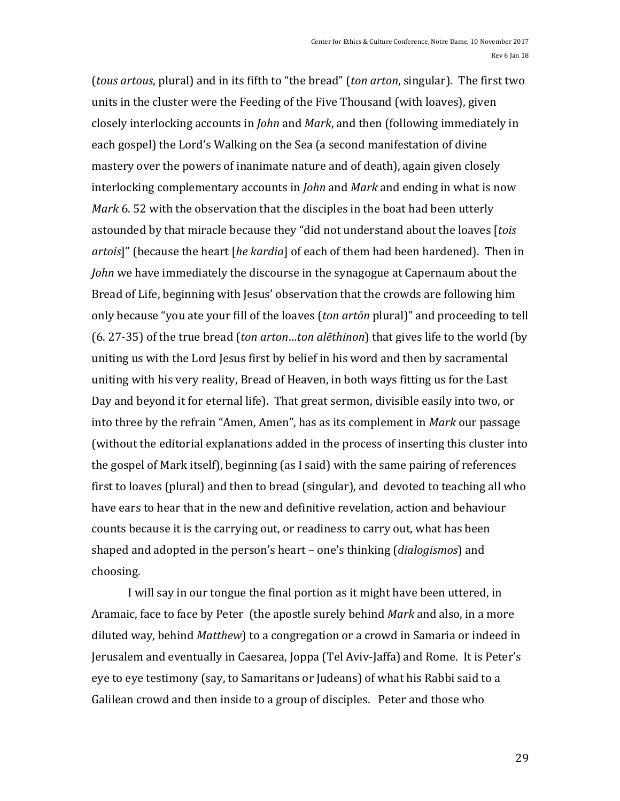(*tous artous*, plural) and in its fifth to "the bread" (*ton arton*, singular). The first two units in the cluster were the Feeding of the Five Thousand (with loaves), given closely interlocking accounts in *John* and *Mark*, and then (following immediately in each gospel) the Lord's Walking on the Sea (a second manifestation of divine mastery over the powers of inanimate nature and of death), again given closely interlocking complementary accounts in *John* and *Mark* and ending in what is now *Mark* 6. 52 with the observation that the disciples in the boat had been utterly astounded by that miracle because they "did not understand about the loaves [tois *artois*]" (because the heart [he kardia] of each of them had been hardened). Then in *John* we have immediately the discourse in the synagogue at Capernaum about the Bread of Life, beginning with Jesus' observation that the crowds are following him only because "you ate your fill of the loaves (*ton artōn* plural)" and proceeding to tell (6. 27-35) of the true bread (*ton arton...ton alethinon*) that gives life to the world (by uniting us with the Lord Jesus first by belief in his word and then by sacramental uniting with his very reality, Bread of Heaven, in both ways fitting us for the Last Day and beyond it for eternal life). That great sermon, divisible easily into two, or into three by the refrain "Amen, Amen", has as its complement in *Mark* our passage (without the editorial explanations added in the process of inserting this cluster into the gospel of Mark itself), beginning (as I said) with the same pairing of references first to loaves (plural) and then to bread (singular), and devoted to teaching all who have ears to hear that in the new and definitive revelation, action and behaviour counts because it is the carrying out, or readiness to carry out, what has been shaped and adopted in the person's heart - one's thinking (*dialogismos*) and choosing.

I will say in our tongue the final portion as it might have been uttered, in Aramaic, face to face by Peter (the apostle surely behind *Mark* and also, in a more diluted way, behind *Matthew*) to a congregation or a crowd in Samaria or indeed in Jerusalem and eventually in Caesarea, Joppa (Tel Aviv-Jaffa) and Rome. It is Peter's eye to eye testimony (say, to Samaritans or Judeans) of what his Rabbi said to a Galilean crowd and then inside to a group of disciples. Peter and those who

29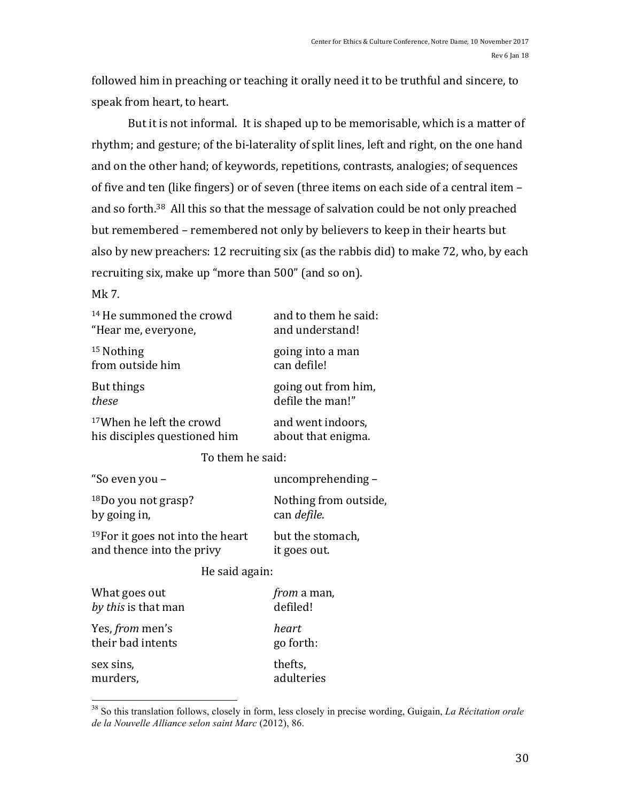followed him in preaching or teaching it orally need it to be truthful and sincere, to speak from heart, to heart.

But it is not informal. It is shaped up to be memorisable, which is a matter of rhythm; and gesture; of the bi-laterality of split lines, left and right, on the one hand and on the other hand; of keywords, repetitions, contrasts, analogies; of sequences of five and ten (like fingers) or of seven (three items on each side of a central item and so forth.<sup>38</sup> All this so that the message of salvation could be not only preached but remembered - remembered not only by believers to keep in their hearts but also by new preachers: 12 recruiting six (as the rabbis did) to make 72, who, by each recruiting six, make up "more than 500" (and so on).

## Mk 7.

| <sup>14</sup> He summoned the crowd          | and to them he said:  |  |
|----------------------------------------------|-----------------------|--|
| "Hear me, everyone,                          | and understand!       |  |
| <sup>15</sup> Nothing                        | going into a man      |  |
| from outside him                             | can defile!           |  |
| But things                                   | going out from him,   |  |
| these                                        | defile the man!"      |  |
| <sup>17</sup> When he left the crowd         | and went indoors,     |  |
| his disciples questioned him                 | about that enigma.    |  |
| To them he said:                             |                       |  |
| "So even you –                               | uncomprehending-      |  |
| <sup>18</sup> Do you not grasp?              | Nothing from outside, |  |
| by going in,                                 | can defile.           |  |
| <sup>19</sup> For it goes not into the heart | but the stomach,      |  |
| and thence into the privy                    | it goes out.          |  |
| He said again:                               |                       |  |
| What goes out                                | <i>from</i> a man,    |  |
| by this is that man                          | defiled!              |  |
| Yes, from men's                              | heart                 |  |

their bad intents go forth: sex sins, thefts, murders, and adulteries

 <sup>38</sup> So this translation follows, closely in form, less closely in precise wording, Guigain, *La Récitation orale de la Nouvelle Alliance selon saint Marc* (2012), 86.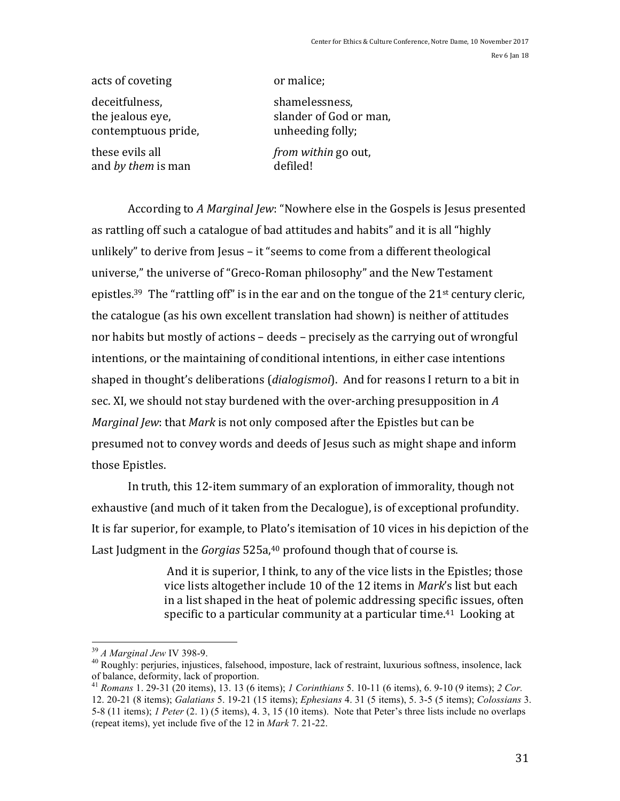Rev 6 Jan 18

acts of coveting or malice;

deceitfulness. Shamelessness, shamelessness, shamelessness, shamelessness, shamelessness, shamelessness, shamelessness, shamelessness, shamelessness, shamelessness, shamelessness, shamelessness, shamelessness, shamelessnes contemptuous pride, each value of the unheeding folly;

and *by them* is man defiled!

the jealous eye, slander of God or man, these evils all *from within* go out,

According to *A Marginal Jew*: "Nowhere else in the Gospels is Jesus presented as rattling off such a catalogue of bad attitudes and habits" and it is all "highly unlikely" to derive from Jesus  $-$  it "seems to come from a different theological universe," the universe of "Greco-Roman philosophy" and the New Testament epistles.<sup>39</sup> The "rattling off" is in the ear and on the tongue of the  $21$ <sup>st</sup> century cleric, the catalogue (as his own excellent translation had shown) is neither of attitudes nor habits but mostly of actions – deeds – precisely as the carrying out of wrongful intentions, or the maintaining of conditional intentions, in either case intentions shaped in thought's deliberations (*dialogismoi*). And for reasons I return to a bit in sec. XI, we should not stay burdened with the over-arching presupposition in A *Marginal Jew*: that *Mark* is not only composed after the Epistles but can be presumed not to convey words and deeds of Jesus such as might shape and inform those Epistles.

In truth, this 12-item summary of an exploration of immorality, though not exhaustive (and much of it taken from the Decalogue), is of exceptional profundity. It is far superior, for example, to Plato's itemisation of 10 vices in his depiction of the Last Judgment in the *Gorgias* 525a,<sup>40</sup> profound though that of course is.

> And it is superior, I think, to any of the vice lists in the Epistles; those vice lists altogether include 10 of the 12 items in *Mark's* list but each in a list shaped in the heat of polemic addressing specific issues, often specific to a particular community at a particular time.<sup>41</sup> Looking at

<sup>&</sup>lt;sup>39</sup> *A Marginal Jew* IV 398-9.<br><sup>40</sup> Roughly: perjuries, injustices, falsehood, imposture, lack of restraint, luxurious softness, insolence, lack of balance, deformity, lack of proportion.

of balance, deformity, lack of proportion. <sup>41</sup> *Romans* 1. 29-31 (20 items), 13. 13 (6 items); *1 Corinthians* 5. 10-11 (6 items), 6. 9-10 (9 items); *2 Cor.* 12. 20-21 (8 items); *Galatians* 5. 19-21 (15 items); *Ephesians* 4. 31 (5 items), 5. 3-5 (5 items); *Colossians* 3. 5-8 (11 items); *1 Peter* (2. 1) (5 items), 4. 3, 15 (10 items). Note that Peter's three lists include no overlaps (repeat items), yet include five of the 12 in *Mark* 7. 21-22.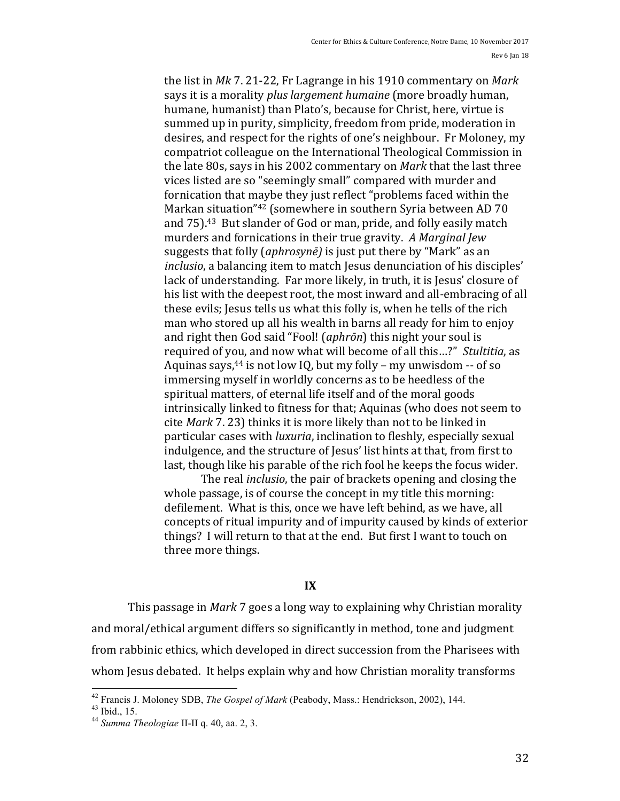the list in *Mk* 7. 21-22, Fr Lagrange in his 1910 commentary on *Mark* says it is a morality *plus largement humaine* (more broadly human, humane, humanist) than Plato's, because for Christ, here, virtue is summed up in purity, simplicity, freedom from pride, moderation in desires, and respect for the rights of one's neighbour. Fr Moloney, my compatriot colleague on the International Theological Commission in the late 80s, says in his 2002 commentary on *Mark* that the last three vices listed are so "seemingly small" compared with murder and fornication that maybe they just reflect "problems faced within the Markan situation"<sup>42</sup> (somewhere in southern Syria between AD 70 and 75).<sup>43</sup> But slander of God or man, pride, and folly easily match murders and fornications in their true gravity. A Marginal Jew suggests that folly (*aphrosyne*) is just put there by "Mark" as an *inclusio*, a balancing item to match Jesus denunciation of his disciples' lack of understanding. Far more likely, in truth, it is Jesus' closure of his list with the deepest root, the most inward and all-embracing of all these evils; Jesus tells us what this folly is, when he tells of the rich man who stored up all his wealth in barns all ready for him to enjoy and right then God said "Fool! (*aphrōn*) this night your soul is required of you, and now what will become of all this...?" Stultitia, as Aquinas says,  $44$  is not low IQ, but my folly – my unwisdom  $-$  of so immersing myself in worldly concerns as to be heedless of the spiritual matters, of eternal life itself and of the moral goods intrinsically linked to fitness for that; Aquinas (who does not seem to cite *Mark* 7. 23) thinks it is more likely than not to be linked in particular cases with *luxuria*, inclination to fleshly, especially sexual indulgence, and the structure of Jesus' list hints at that, from first to last, though like his parable of the rich fool he keeps the focus wider.

The real *inclusio*, the pair of brackets opening and closing the whole passage, is of course the concept in my title this morning: defilement. What is this, once we have left behind, as we have, all concepts of ritual impurity and of impurity caused by kinds of exterior things? I will return to that at the end. But first I want to touch on three more things.

## **IX**

This passage in *Mark* 7 goes a long way to explaining why Christian morality and moral/ethical argument differs so significantly in method, tone and judgment from rabbinic ethics, which developed in direct succession from the Pharisees with whom Jesus debated. It helps explain why and how Christian morality transforms

 <sup>42</sup> Francis J. Moloney SDB, *The Gospel of Mark* (Peabody, Mass.: Hendrickson, 2002), 144. <sup>43</sup> Ibid., 15. <sup>44</sup> *Summa Theologiae* II-II q. 40, aa. 2, 3.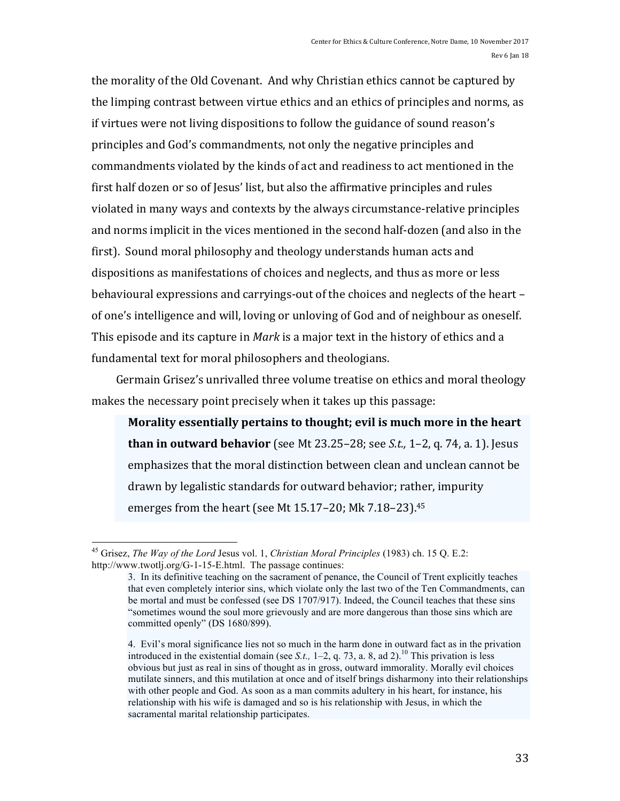the morality of the Old Covenant. And why Christian ethics cannot be captured by the limping contrast between virtue ethics and an ethics of principles and norms, as if virtues were not living dispositions to follow the guidance of sound reason's principles and God's commandments, not only the negative principles and commandments violated by the kinds of act and readiness to act mentioned in the first half dozen or so of Jesus' list, but also the affirmative principles and rules violated in many ways and contexts by the always circumstance-relative principles and norms implicit in the vices mentioned in the second half-dozen (and also in the first). Sound moral philosophy and theology understands human acts and dispositions as manifestations of choices and neglects, and thus as more or less behavioural expressions and carryings-out of the choices and neglects of the heart – of one's intelligence and will, loving or unloving of God and of neighbour as oneself. This episode and its capture in *Mark* is a major text in the history of ethics and a

fundamental text for moral philosophers and theologians.

Germain Grisez's unrivalled three volume treatise on ethics and moral theology makes the necessary point precisely when it takes up this passage:

Morality essentially pertains to thought; evil is much more in the heart **than in outward behavior** (see Mt 23.25–28; see *S.t.*, 1–2, q. 74, a. 1). Jesus emphasizes that the moral distinction between clean and unclean cannot be drawn by legalistic standards for outward behavior; rather, impurity emerges from the heart (see Mt  $15.17-20$ ; Mk  $7.18-23$ ).<sup>45</sup>

 <sup>45</sup> Grisez, *The Way of the Lord* Jesus vol. 1, *Christian Moral Principles* (1983) ch. 15 Q. E.2: http://www.twotlj.org/G-1-15-E.html. The passage continues:

<sup>3.</sup> In its definitive teaching on the sacrament of penance, the Council of Trent explicitly teaches that even completely interior sins, which violate only the last two of the Ten Commandments, can be mortal and must be confessed (see DS 1707/917). Indeed, the Council teaches that these sins "sometimes wound the soul more grievously and are more dangerous than those sins which are committed openly" (DS 1680/899).

<sup>4.</sup> Evil's moral significance lies not so much in the harm done in outward fact as in the privation introduced in the existential domain (see *S.t.*,  $1-2$ , q. 73, a. 8, ad 2).<sup>10</sup> This privation is less obvious but just as real in sins of thought as in gross, outward immorality. Morally evil choices mutilate sinners, and this mutilation at once and of itself brings disharmony into their relationships with other people and God. As soon as a man commits adultery in his heart, for instance, his relationship with his wife is damaged and so is his relationship with Jesus, in which the sacramental marital relationship participates.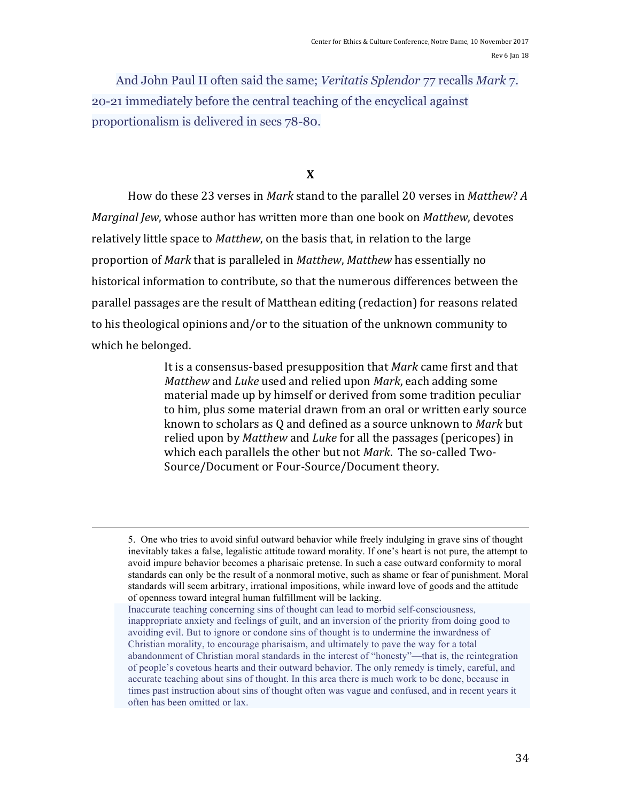And John Paul II often said the same; *Veritatis Splendor* 77 recalls *Mark* 7. 20-21 immediately before the central teaching of the encyclical against proportionalism is delivered in secs 78-80.

# **X**

How do these 23 verses in *Mark* stand to the parallel 20 verses in *Matthew*? *A Marginal Jew*, whose author has written more than one book on *Matthew*, devotes relatively little space to *Matthew*, on the basis that, in relation to the large proportion of *Mark* that is paralleled in *Matthew*, *Matthew* has essentially no historical information to contribute, so that the numerous differences between the parallel passages are the result of Matthean editing (redaction) for reasons related to his theological opinions and/or to the situation of the unknown community to which he belonged.

> It is a consensus-based presupposition that *Mark* came first and that *Matthew* and *Luke* used and relied upon *Mark*, each adding some material made up by himself or derived from some tradition peculiar to him, plus some material drawn from an oral or written early source known to scholars as Q and defined as a source unknown to *Mark* but relied upon by *Matthew* and *Luke* for all the passages (pericopes) in which each parallels the other but not *Mark*. The so-called Two-Source/Document or Four-Source/Document theory.

<u> 2002 - Andrea San Andrea San Andrea San Andrea San Andrea San Andrea San Andrea San Andrea San Andrea San An</u>

<sup>5.</sup> One who tries to avoid sinful outward behavior while freely indulging in grave sins of thought inevitably takes a false, legalistic attitude toward morality. If one's heart is not pure, the attempt to avoid impure behavior becomes a pharisaic pretense. In such a case outward conformity to moral standards can only be the result of a nonmoral motive, such as shame or fear of punishment. Moral standards will seem arbitrary, irrational impositions, while inward love of goods and the attitude of openness toward integral human fulfillment will be lacking.

Inaccurate teaching concerning sins of thought can lead to morbid self-consciousness, inappropriate anxiety and feelings of guilt, and an inversion of the priority from doing good to avoiding evil. But to ignore or condone sins of thought is to undermine the inwardness of Christian morality, to encourage pharisaism, and ultimately to pave the way for a total abandonment of Christian moral standards in the interest of "honesty"—that is, the reintegration of people's covetous hearts and their outward behavior. The only remedy is timely, careful, and accurate teaching about sins of thought. In this area there is much work to be done, because in times past instruction about sins of thought often was vague and confused, and in recent years it often has been omitted or lax.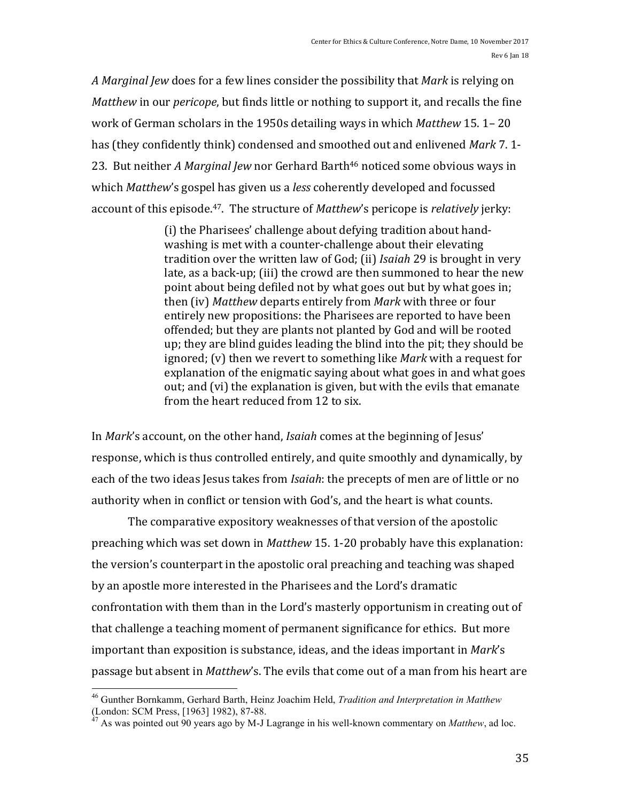A *Marginal Jew* does for a few lines consider the possibility that *Mark* is relying on *Matthew* in our *pericope*, but finds little or nothing to support it, and recalls the fine work of German scholars in the 1950s detailing ways in which *Matthew* 15. 1– 20 has (they confidently think) condensed and smoothed out and enlivened Mark 7.1-23. But neither *A Marginal Jew* nor Gerhard Barth<sup>46</sup> noticed some obvious ways in which *Matthew's* gospel has given us a *less* coherently developed and focussed account of this episode.<sup>47</sup>. The structure of *Matthew*'s pericope is *relatively* jerky:

> (i) the Pharisees' challenge about defying tradition about handwashing is met with a counter-challenge about their elevating tradition over the written law of God; (ii) *Isaiah* 29 is brought in very late, as a back-up; (iii) the crowd are then summoned to hear the new point about being defiled not by what goes out but by what goes in; then (iv) *Matthew* departs entirely from *Mark* with three or four entirely new propositions: the Pharisees are reported to have been offended; but they are plants not planted by God and will be rooted up; they are blind guides leading the blind into the pit; they should be ignored; (y) then we revert to something like *Mark* with a request for explanation of the enigmatic saying about what goes in and what goes out; and (vi) the explanation is given, but with the evils that emanate from the heart reduced from 12 to six.

In *Mark*'s account, on the other hand, *Isaiah* comes at the beginning of Jesus' response, which is thus controlled entirely, and quite smoothly and dynamically, by each of the two ideas Jesus takes from *Isaiah*: the precepts of men are of little or no authority when in conflict or tension with God's, and the heart is what counts.

The comparative expository weaknesses of that version of the apostolic preaching which was set down in *Matthew* 15.1-20 probably have this explanation: the version's counterpart in the apostolic oral preaching and teaching was shaped by an apostle more interested in the Pharisees and the Lord's dramatic confrontation with them than in the Lord's masterly opportunism in creating out of that challenge a teaching moment of permanent significance for ethics. But more important than exposition is substance, ideas, and the ideas important in *Mark's* passage but absent in *Matthew*'s. The evils that come out of a man from his heart are

<sup>&</sup>lt;sup>46</sup> Gunther Bornkamm, Gerhard Barth, Heinz Joachim Held, *Tradition and Interpretation in Matthew* (London: SCM Press, [1963] 1982), 87-88.

As was pointed out 90 years ago by M-J Lagrange in his well-known commentary on *Matthew*, ad loc.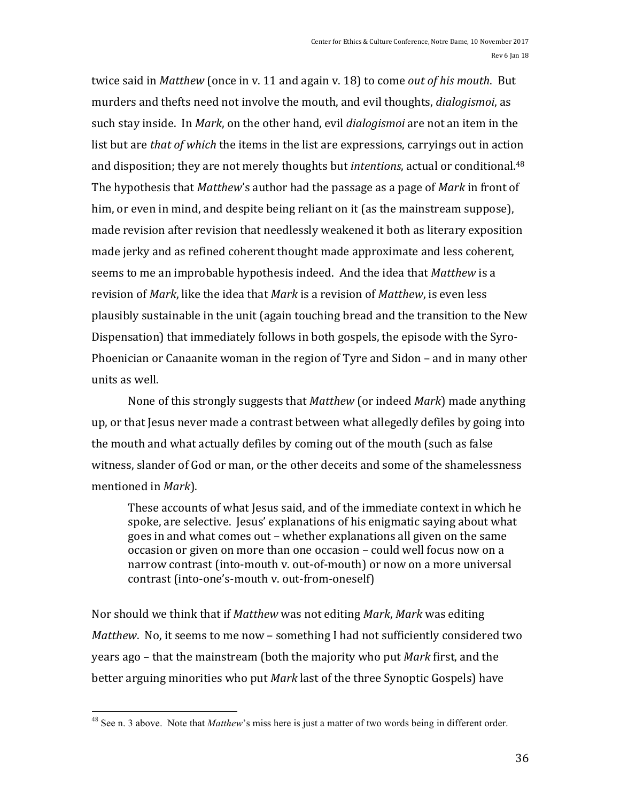twice said in *Matthew* (once in v. 11 and again v. 18) to come *out of his mouth*. But murders and thefts need not involve the mouth, and evil thoughts, *dialogismoi*, as such stay inside. In *Mark*, on the other hand, evil *dialogismoi* are not an item in the list but are *that of which* the items in the list are expressions, carryings out in action and disposition; they are not merely thoughts but *intentions*, actual or conditional.<sup>48</sup> The hypothesis that *Matthew's* author had the passage as a page of *Mark* in front of him, or even in mind, and despite being reliant on it (as the mainstream suppose), made revision after revision that needlessly weakened it both as literary exposition made jerky and as refined coherent thought made approximate and less coherent, seems to me an improbable hypothesis indeed. And the idea that *Matthew* is a revision of *Mark*, like the idea that *Mark* is a revision of *Matthew*, is even less plausibly sustainable in the unit (again touching bread and the transition to the New Dispensation) that immediately follows in both gospels, the episode with the Syro-Phoenician or Canaanite woman in the region of Tyre and Sidon – and in many other units as well.

None of this strongly suggests that *Matthew* (or indeed *Mark*) made anything up, or that Jesus never made a contrast between what allegedly defiles by going into the mouth and what actually defiles by coming out of the mouth (such as false witness, slander of God or man, or the other deceits and some of the shamelessness mentioned in *Mark*).

These accounts of what Jesus said, and of the immediate context in which he spoke, are selective. Jesus' explanations of his enigmatic saying about what goes in and what comes out – whether explanations all given on the same occasion or given on more than one occasion – could well focus now on a narrow contrast (into-mouth v. out-of-mouth) or now on a more universal contrast (into-one's-mouth v. out-from-oneself)

Nor should we think that if *Matthew* was not editing *Mark*, *Mark* was editing *Matthew.* No, it seems to me now – something I had not sufficiently considered two years ago – that the mainstream (both the majority who put *Mark* first, and the better arguing minorities who put *Mark* last of the three Synoptic Gospels) have

 <sup>48</sup> See n. 3 above. Note that *Matthew*'s miss here is just a matter of two words being in different order.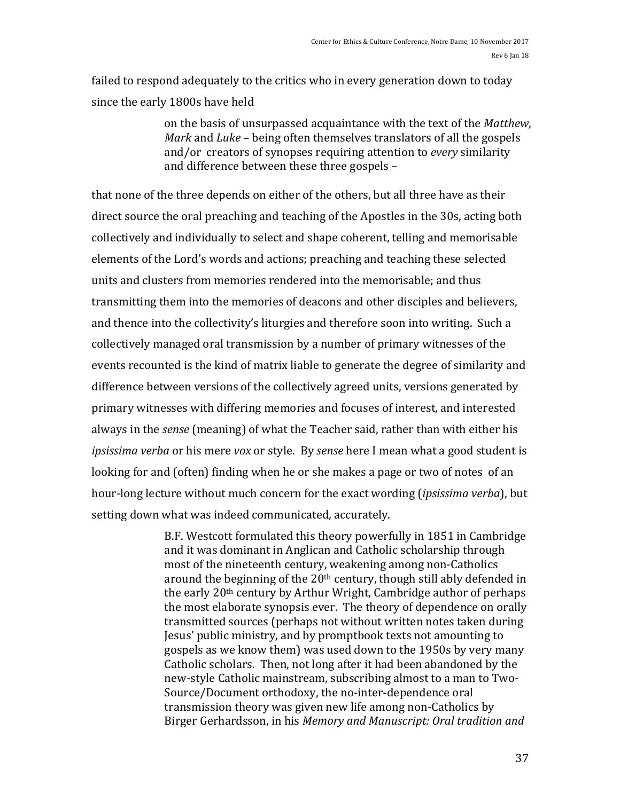failed to respond adequately to the critics who in every generation down to today since the early 1800s have held

> on the basis of unsurpassed acquaintance with the text of the *Matthew*, *Mark* and *Luke* – being often themselves translators of all the gospels and/or creators of synopses requiring attention to *every* similarity and difference between these three gospels -

that none of the three depends on either of the others, but all three have as their direct source the oral preaching and teaching of the Apostles in the 30s, acting both collectively and individually to select and shape coherent, telling and memorisable elements of the Lord's words and actions; preaching and teaching these selected units and clusters from memories rendered into the memorisable; and thus transmitting them into the memories of deacons and other disciples and believers, and thence into the collectivity's liturgies and therefore soon into writing. Such a collectively managed oral transmission by a number of primary witnesses of the events recounted is the kind of matrix liable to generate the degree of similarity and difference between versions of the collectively agreed units, versions generated by primary witnesses with differing memories and focuses of interest, and interested always in the *sense* (meaning) of what the Teacher said, rather than with either his *ipsissima verba* or his mere *vox* or style. By *sense* here I mean what a good student is looking for and (often) finding when he or she makes a page or two of notes of an hour-long lecture without much concern for the exact wording *(ipsissima verba)*, but setting down what was indeed communicated, accurately.

> B.F. Westcott formulated this theory powerfully in 1851 in Cambridge and it was dominant in Anglican and Catholic scholarship through most of the nineteenth century, weakening among non-Catholics around the beginning of the  $20<sup>th</sup>$  century, though still ably defended in the early 20<sup>th</sup> century by Arthur Wright, Cambridge author of perhaps the most elaborate synopsis ever. The theory of dependence on orally transmitted sources (perhaps not without written notes taken during Jesus' public ministry, and by promptbook texts not amounting to gospels as we know them) was used down to the 1950s by very many Catholic scholars. Then, not long after it had been abandoned by the new-style Catholic mainstream, subscribing almost to a man to Two-Source/Document orthodoxy, the no-inter-dependence oral transmission theory was given new life among non-Catholics by Birger Gerhardsson, in his Memory and Manuscript: Oral tradition and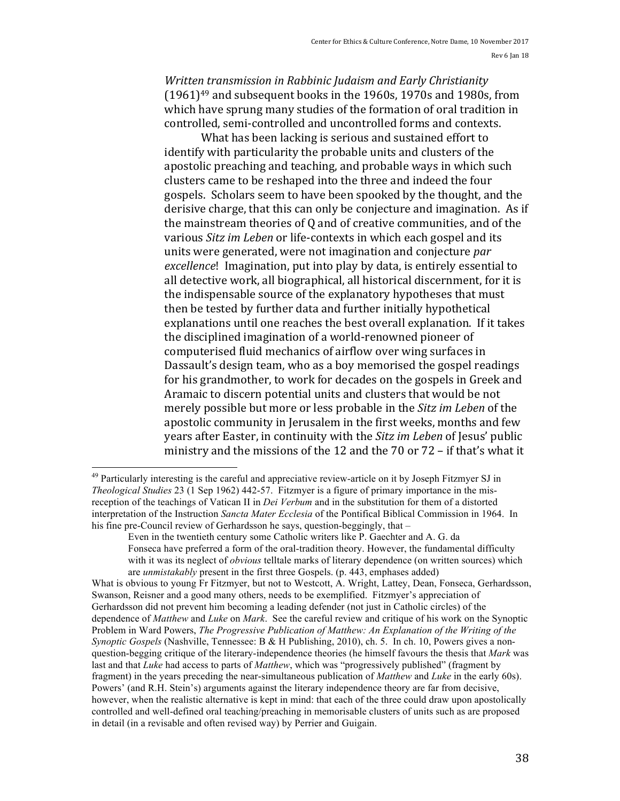*Written transmission in Rabbinic Judaism and Early Christianity*  $(1961)^{49}$  and subsequent books in the 1960s, 1970s and 1980s, from which have sprung many studies of the formation of oral tradition in controlled, semi-controlled and uncontrolled forms and contexts.

What has been lacking is serious and sustained effort to identify with particularity the probable units and clusters of the apostolic preaching and teaching, and probable ways in which such clusters came to be reshaped into the three and indeed the four gospels. Scholars seem to have been spooked by the thought, and the derisive charge, that this can only be conjecture and imagination. As if the mainstream theories of  $0$  and of creative communities, and of the various *Sitz im Leben* or life-contexts in which each gospel and its units were generated, were not imagination and conjecture *par excellence*! Imagination, put into play by data, is entirely essential to all detective work, all biographical, all historical discernment, for it is the indispensable source of the explanatory hypotheses that must then be tested by further data and further initially hypothetical explanations until one reaches the best overall explanation. If it takes the disciplined imagination of a world-renowned pioneer of computerised fluid mechanics of airflow over wing surfaces in Dassault's design team, who as a boy memorised the gospel readings for his grandmother, to work for decades on the gospels in Greek and Aramaic to discern potential units and clusters that would be not merely possible but more or less probable in the *Sitz im Leben* of the apostolic community in Jerusalem in the first weeks, months and few years after Easter, in continuity with the *Sitz im Leben* of Jesus' public ministry and the missions of the 12 and the 70 or 72 – if that's what it

<sup>&</sup>lt;sup>49</sup> Particularly interesting is the careful and appreciative review-article on it by Joseph Fitzmyer SJ in *Theological Studies* 23 (1 Sep 1962) 442-57. Fitzmyer is a figure of primary importance in the misreception of the teachings of Vatican II in *Dei Verbum* and in the substitution for them of a distorted interpretation of the Instruction *Sancta Mater Ecclesia* of the Pontifical Biblical Commission in 1964. In his fine pre-Council review of Gerhardsson he says, question-beggingly, that –

Even in the twentieth century some Catholic writers like P. Gaechter and A. G. da Fonseca have preferred a form of the oral-tradition theory. However, the fundamental difficulty with it was its neglect of *obvious* telltale marks of literary dependence (on written sources) which are *unmistakably* present in the first three Gospels. (p. 443, emphases added)

What is obvious to young Fr Fitzmyer, but not to Westcott, A. Wright, Lattey, Dean, Fonseca, Gerhardsson, Swanson, Reisner and a good many others, needs to be exemplified. Fitzmyer's appreciation of Gerhardsson did not prevent him becoming a leading defender (not just in Catholic circles) of the dependence of *Matthew* and *Luke* on *Mark*. See the careful review and critique of his work on the Synoptic Problem in Ward Powers, *The Progressive Publication of Matthew: An Explanation of the Writing of the Synoptic Gospels* (Nashville, Tennessee: B & H Publishing, 2010), ch. 5. In ch. 10, Powers gives a nonquestion-begging critique of the literary-independence theories (he himself favours the thesis that *Mark* was last and that *Luke* had access to parts of *Matthew*, which was "progressively published" (fragment by fragment) in the years preceding the near-simultaneous publication of *Matthew* and *Luke* in the early 60s). Powers' (and R.H. Stein's) arguments against the literary independence theory are far from decisive, however, when the realistic alternative is kept in mind: that each of the three could draw upon apostolically controlled and well-defined oral teaching/preaching in memorisable clusters of units such as are proposed in detail (in a revisable and often revised way) by Perrier and Guigain.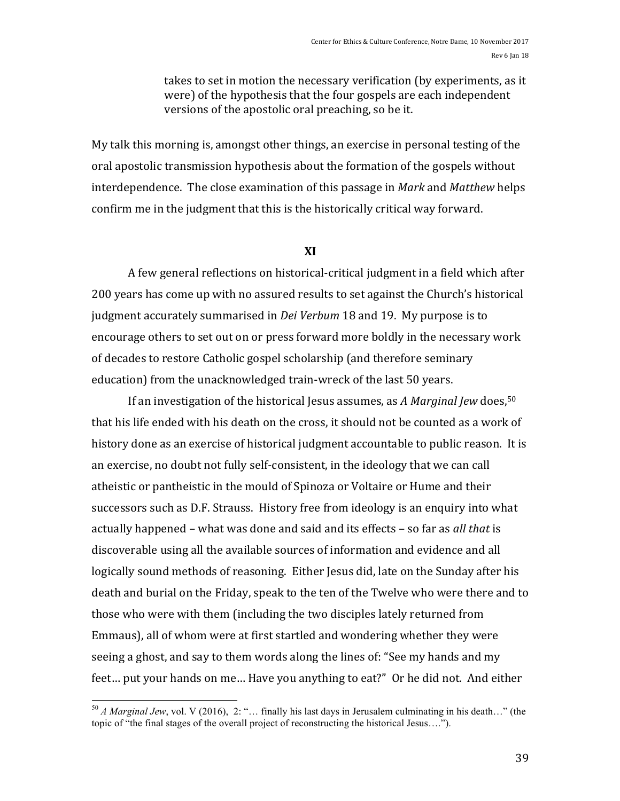takes to set in motion the necessary verification (by experiments, as it were) of the hypothesis that the four gospels are each independent versions of the apostolic oral preaching, so be it.

My talk this morning is, amongst other things, an exercise in personal testing of the oral apostolic transmission hypothesis about the formation of the gospels without interdependence. The close examination of this passage in *Mark* and *Matthew* helps confirm me in the judgment that this is the historically critical way forward.

## **XI**

A few general reflections on historical-critical judgment in a field which after 200 years has come up with no assured results to set against the Church's historical judgment accurately summarised in *Dei Verbum* 18 and 19. My purpose is to encourage others to set out on or press forward more boldly in the necessary work of decades to restore Catholic gospel scholarship (and therefore seminary education) from the unacknowledged train-wreck of the last 50 years.

If an investigation of the historical Jesus assumes, as *A Marginal Jew* does,<sup>50</sup> that his life ended with his death on the cross, it should not be counted as a work of history done as an exercise of historical judgment accountable to public reason. It is an exercise, no doubt not fully self-consistent, in the ideology that we can call atheistic or pantheistic in the mould of Spinoza or Voltaire or Hume and their successors such as D.F. Strauss. History free from ideology is an enquiry into what actually happened – what was done and said and its effects – so far as *all that* is discoverable using all the available sources of information and evidence and all logically sound methods of reasoning. Either Jesus did, late on the Sunday after his death and burial on the Friday, speak to the ten of the Twelve who were there and to those who were with them (including the two disciples lately returned from Emmaus), all of whom were at first startled and wondering whether they were seeing a ghost, and say to them words along the lines of: "See my hands and my feet... put your hands on me... Have you anything to eat?" Or he did not. And either

 <sup>50</sup> *A Marginal Jew*, vol. V (2016), 2: "… finally his last days in Jerusalem culminating in his death…" (the topic of "the final stages of the overall project of reconstructing the historical Jesus….").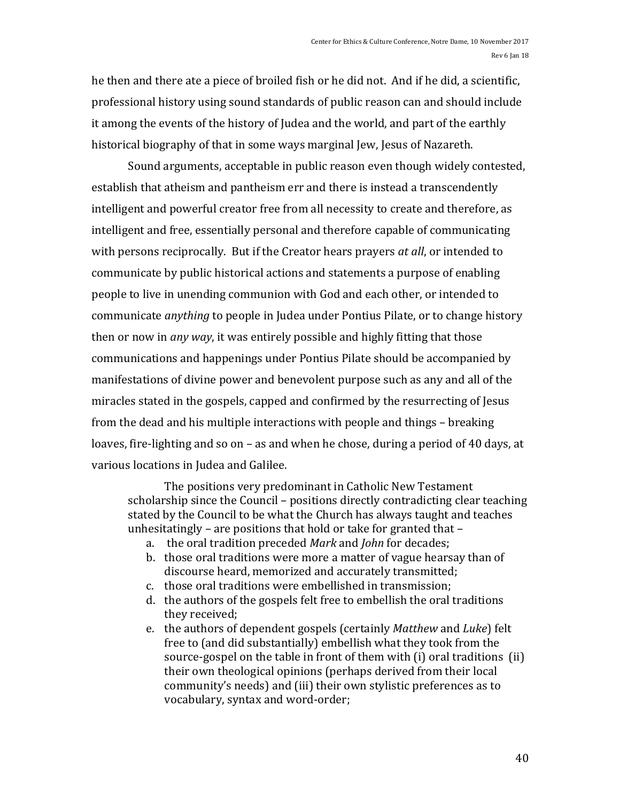he then and there ate a piece of broiled fish or he did not. And if he did, a scientific, professional history using sound standards of public reason can and should include it among the events of the history of Judea and the world, and part of the earthly historical biography of that in some ways marginal Jew, Jesus of Nazareth.

Sound arguments, acceptable in public reason even though widely contested, establish that atheism and pantheism err and there is instead a transcendently intelligent and powerful creator free from all necessity to create and therefore, as intelligent and free, essentially personal and therefore capable of communicating with persons reciprocally. But if the Creator hears prayers *at all*, or intended to communicate by public historical actions and statements a purpose of enabling people to live in unending communion with God and each other, or intended to communicate *anything* to people in Judea under Pontius Pilate, or to change history then or now in *any way*, it was entirely possible and highly fitting that those communications and happenings under Pontius Pilate should be accompanied by manifestations of divine power and benevolent purpose such as any and all of the miracles stated in the gospels, capped and confirmed by the resurrecting of Jesus from the dead and his multiple interactions with people and things – breaking loaves, fire-lighting and so on – as and when he chose, during a period of 40 days, at various locations in Judea and Galilee.

The positions very predominant in Catholic New Testament scholarship since the Council – positions directly contradicting clear teaching stated by the Council to be what the Church has always taught and teaches unhesitatingly – are positions that hold or take for granted that –

- a. the oral tradition preceded *Mark* and *John* for decades;
- b. those oral traditions were more a matter of vague hearsay than of discourse heard, memorized and accurately transmitted;
- c. those oral traditions were embellished in transmission;
- d. the authors of the gospels felt free to embellish the oral traditions they received;
- e. the authors of dependent gospels (certainly *Matthew* and *Luke*) felt free to (and did substantially) embellish what they took from the source-gospel on the table in front of them with  $(i)$  oral traditions  $(ii)$ their own theological opinions (perhaps derived from their local community's needs) and (iii) their own stylistic preferences as to vocabulary, syntax and word-order;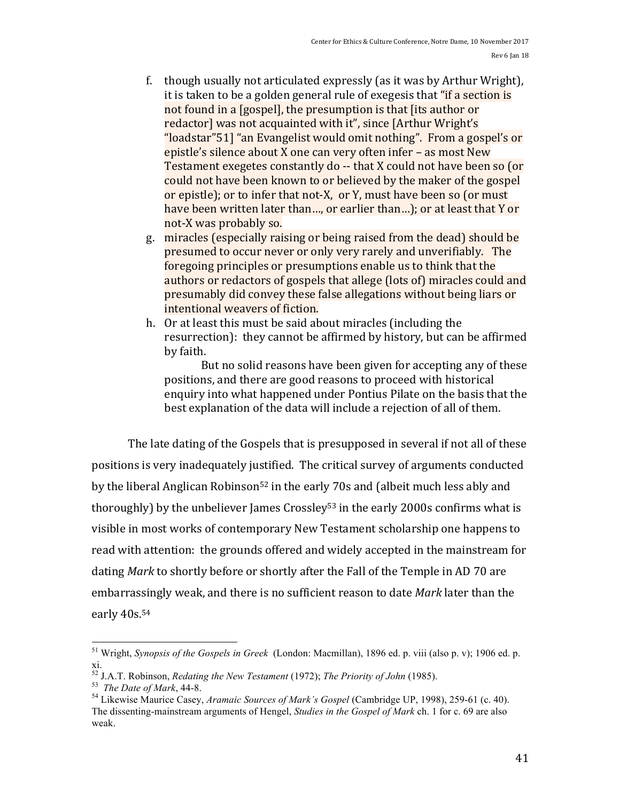- f. though usually not articulated expressly (as it was by Arthur Wright), it is taken to be a golden general rule of exegesis that "if a section is not found in a [gospel], the presumption is that [its author or redactor] was not acquainted with it", since [Arthur Wright's] "loadstar"51] "an Evangelist would omit nothing". From a gospel's or epistle's silence about  $X$  one can very often infer – as most  $New$ Testament exegetes constantly do -- that X could not have been so (or could not have been known to or believed by the maker of the gospel or epistle); or to infer that not-X, or Y, must have been so (or must have been written later than..., or earlier than...); or at least that Y or not-X was probably so.
- g. miracles (especially raising or being raised from the dead) should be presumed to occur never or only very rarely and unverifiably. The foregoing principles or presumptions enable us to think that the authors or redactors of gospels that allege (lots of) miracles could and presumably did convey these false allegations without being liars or intentional weavers of fiction.
- h. Or at least this must be said about miracles (including the resurrection): they cannot be affirmed by history, but can be affirmed by faith.

But no solid reasons have been given for accepting any of these positions, and there are good reasons to proceed with historical enquiry into what happened under Pontius Pilate on the basis that the best explanation of the data will include a rejection of all of them.

The late dating of the Gospels that is presupposed in several if not all of these positions is very inadequately justified. The critical survey of arguments conducted by the liberal Anglican Robinson<sup>52</sup> in the early 70s and (albeit much less ably and thoroughly) by the unbeliever James Crossley<sup>53</sup> in the early 2000s confirms what is visible in most works of contemporary New Testament scholarship one happens to read with attention: the grounds offered and widely accepted in the mainstream for dating *Mark* to shortly before or shortly after the Fall of the Temple in AD 70 are embarrassingly weak, and there is no sufficient reason to date *Mark* later than the early 40s.<sup>54</sup>

 <sup>51</sup> Wright, *Synopsis of the Gospels in Greek* (London: Macmillan), 1896 ed. p. viii (also p. v); 1906 ed. p. xi.

<sup>&</sup>lt;sup>52</sup> J.A.T. Robinson, *Redating the New Testament* (1972); *The Priority of John* (1985).<br><sup>53</sup> *The Date of Mark*, 44-8.<br><sup>54</sup> Likewise Maurice Casey, *Aramaic Sources of Mark's Gospel* (Cambridge UP, 1998), 259-61 (c. 40) The dissenting-mainstream arguments of Hengel, *Studies in the Gospel of Mark* ch. 1 for c. 69 are also weak.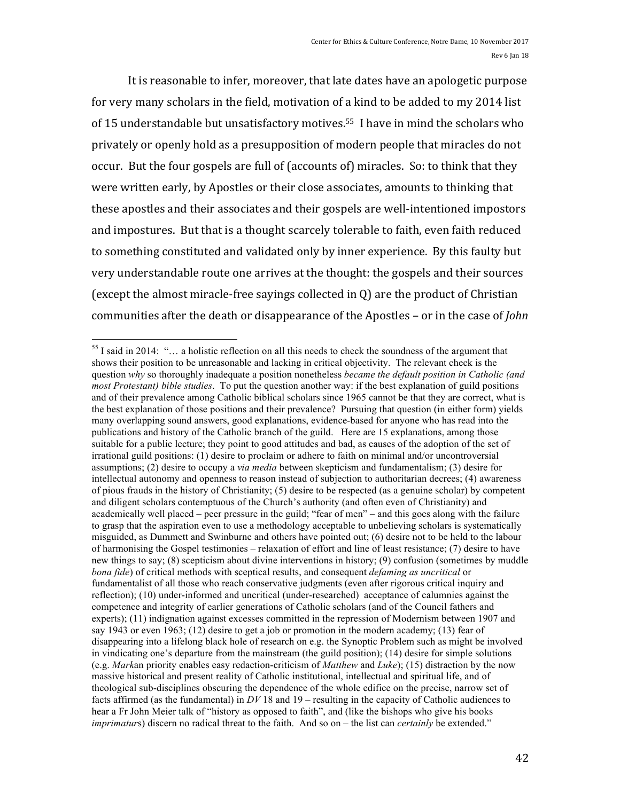It is reasonable to infer, moreover, that late dates have an apologetic purpose for very many scholars in the field, motivation of a kind to be added to my 2014 list of 15 understandable but unsatisfactory motives.<sup>55</sup> I have in mind the scholars who privately or openly hold as a presupposition of modern people that miracles do not occur. But the four gospels are full of (accounts of) miracles. So: to think that they were written early, by Apostles or their close associates, amounts to thinking that these apostles and their associates and their gospels are well-intentioned impostors and impostures. But that is a thought scarcely tolerable to faith, even faith reduced to something constituted and validated only by inner experience. By this faulty but very understandable route one arrives at the thought: the gospels and their sources (except the almost miracle-free sayings collected in  $Q$ ) are the product of Christian communities after the death or disappearance of the Apostles – or in the case of *John* 

 $<sup>55</sup>$  I said in 2014: "... a holistic reflection on all this needs to check the soundness of the argument that</sup> shows their position to be unreasonable and lacking in critical objectivity. The relevant check is the question *why* so thoroughly inadequate a position nonetheless *became the default position in Catholic (and most Protestant) bible studies*. To put the question another way: if the best explanation of guild positions and of their prevalence among Catholic biblical scholars since 1965 cannot be that they are correct, what is the best explanation of those positions and their prevalence? Pursuing that question (in either form) yields many overlapping sound answers, good explanations, evidence-based for anyone who has read into the publications and history of the Catholic branch of the guild. Here are 15 explanations, among those suitable for a public lecture; they point to good attitudes and bad, as causes of the adoption of the set of irrational guild positions: (1) desire to proclaim or adhere to faith on minimal and/or uncontroversial assumptions; (2) desire to occupy a *via media* between skepticism and fundamentalism; (3) desire for intellectual autonomy and openness to reason instead of subjection to authoritarian decrees; (4) awareness of pious frauds in the history of Christianity; (5) desire to be respected (as a genuine scholar) by competent and diligent scholars contemptuous of the Church's authority (and often even of Christianity) and academically well placed – peer pressure in the guild; "fear of men" – and this goes along with the failure to grasp that the aspiration even to use a methodology acceptable to unbelieving scholars is systematically misguided, as Dummett and Swinburne and others have pointed out; (6) desire not to be held to the labour of harmonising the Gospel testimonies – relaxation of effort and line of least resistance; (7) desire to have new things to say; (8) scepticism about divine interventions in history; (9) confusion (sometimes by muddle *bona fide*) of critical methods with sceptical results, and consequent *defaming as uncritical* or fundamentalist of all those who reach conservative judgments (even after rigorous critical inquiry and reflection); (10) under-informed and uncritical (under-researched) acceptance of calumnies against the competence and integrity of earlier generations of Catholic scholars (and of the Council fathers and experts); (11) indignation against excesses committed in the repression of Modernism between 1907 and say 1943 or even 1963; (12) desire to get a job or promotion in the modern academy; (13) fear of disappearing into a lifelong black hole of research on e.g. the Synoptic Problem such as might be involved in vindicating one's departure from the mainstream (the guild position); (14) desire for simple solutions (e.g. *Mark*an priority enables easy redaction-criticism of *Matthew* and *Luke*); (15) distraction by the now massive historical and present reality of Catholic institutional, intellectual and spiritual life, and of theological sub-disciplines obscuring the dependence of the whole edifice on the precise, narrow set of facts affirmed (as the fundamental) in *DV* 18 and 19 – resulting in the capacity of Catholic audiences to hear a Fr John Meier talk of "history as opposed to faith", and (like the bishops who give his books *imprimaturs*) discern no radical threat to the faith. And so on – the list can *certainly* be extended."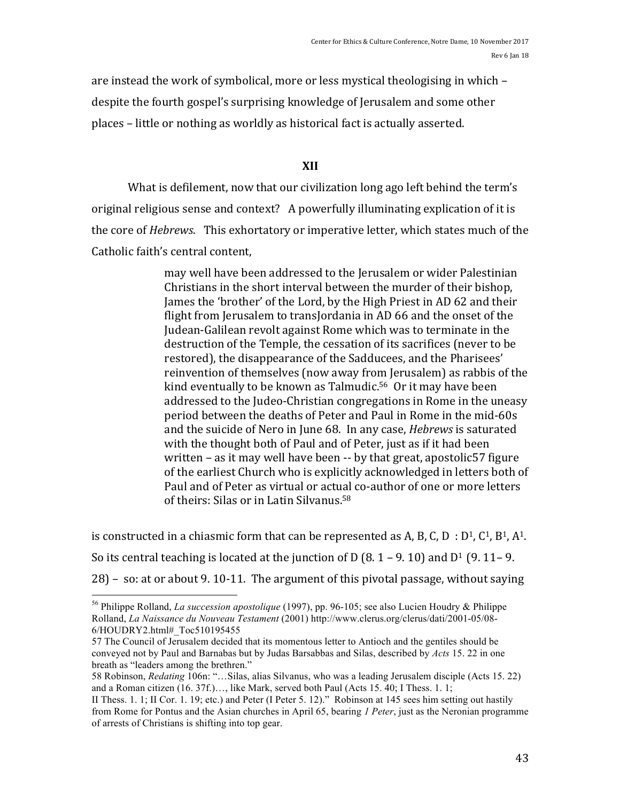are instead the work of symbolical, more or less mystical theologising in which  $$ despite the fourth gospel's surprising knowledge of Jerusalem and some other places – little or nothing as worldly as historical fact is actually asserted.

## **XII**

What is defilement, now that our civilization long ago left behind the term's original religious sense and context? A powerfully illuminating explication of it is the core of *Hebrews*. This exhortatory or imperative letter, which states much of the Catholic faith's central content,

> may well have been addressed to the Jerusalem or wider Palestinian Christians in the short interval between the murder of their bishop, James the 'brother' of the Lord, by the High Priest in AD 62 and their flight from Jerusalem to transJordania in AD 66 and the onset of the Judean-Galilean revolt against Rome which was to terminate in the destruction of the Temple, the cessation of its sacrifices (never to be restored), the disappearance of the Sadducees, and the Pharisees' reinvention of themselves (now away from Jerusalem) as rabbis of the kind eventually to be known as Talmudic.<sup>56</sup> Or it may have been addressed to the Judeo-Christian congregations in Rome in the uneasy period between the deaths of Peter and Paul in Rome in the mid-60s and the suicide of Nero in June 68. In any case, *Hebrews* is saturated with the thought both of Paul and of Peter, just as if it had been written – as it may well have been  $-$  by that great, apostolic57 figure of the earliest Church who is explicitly acknowledged in letters both of Paul and of Peter as virtual or actual co-author of one or more letters of theirs: Silas or in Latin Silvanus.<sup>58</sup>

is constructed in a chiasmic form that can be represented as A, B, C, D :  $D^1$ ,  $C^1$ ,  $B^1$ ,  $A^1$ . So its central teaching is located at the junction of D (8. 1 – 9. 10) and  $D^1$  (9. 11– 9.  $28$ ) – so: at or about 9.10-11. The argument of this pivotal passage, without saying

 <sup>56</sup> Philippe Rolland, *La succession apostolique* (1997), pp. 96-105; see also Lucien Houdry & Philippe Rolland, *La Naissance du Nouveau Testament* (2001) http://www.clerus.org/clerus/dati/2001-05/08- 6/HOUDRY2.html#\_Toc510195455

<sup>57</sup> The Council of Jerusalem decided that its momentous letter to Antioch and the gentiles should be conveyed not by Paul and Barnabas but by Judas Barsabbas and Silas, described by *Acts* 15. 22 in one breath as "leaders among the brethren."

<sup>58</sup> Robinson, *Redating* 106n: "…Silas, alias Silvanus, who was a leading Jerusalem disciple (Acts 15. 22) and a Roman citizen (16. 37f.)…, like Mark, served both Paul (Acts 15. 40; I Thess. 1. 1;

II Thess. 1. 1; II Cor. 1. 19; etc.) and Peter (I Peter 5. 12)." Robinson at 145 sees him setting out hastily from Rome for Pontus and the Asian churches in April 65, bearing *1 Peter*, just as the Neronian programme of arrests of Christians is shifting into top gear.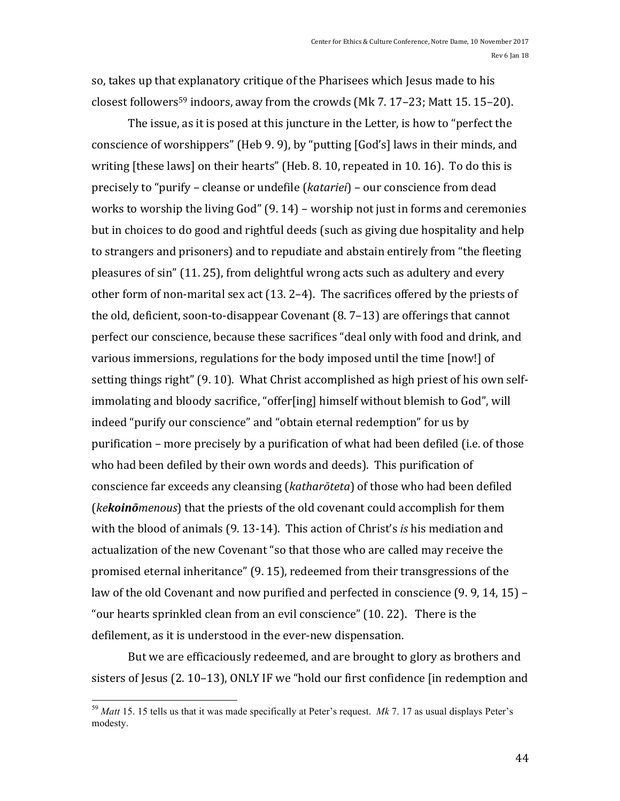so, takes up that explanatory critique of the Pharisees which Jesus made to his closest followers<sup>59</sup> indoors, away from the crowds  $(Mk 7. 17-23; Matt 15. 15-20)$ .

The issue, as it is posed at this juncture in the Letter, is how to "perfect the conscience of worshippers" (Heb 9. 9), by "putting [God's] laws in their minds, and writing  $[these laws]$  on their hearts"  $[Heb. 8. 10$ , repeated in 10. 16). To do this is precisely to "purify – cleanse or undefile (*katariei*) – our conscience from dead works to worship the living  $God''(9. 14)$  – worship not just in forms and ceremonies but in choices to do good and rightful deeds (such as giving due hospitality and help to strangers and prisoners) and to repudiate and abstain entirely from "the fleeting pleasures of  $sin''$  (11. 25), from delightful wrong acts such as adultery and every other form of non-marital sex act  $(13. 2-4)$ . The sacrifices offered by the priests of the old, deficient, soon-to-disappear Covenant  $(8. 7-13)$  are offerings that cannot perfect our conscience, because these sacrifices "deal only with food and drink, and various immersions, regulations for the body imposed until the time [now!] of setting things right" (9. 10). What Christ accomplished as high priest of his own selfimmolating and bloody sacrifice, "offer[ing] himself without blemish to God", will indeed "purify our conscience" and "obtain eternal redemption" for us by purification – more precisely by a purification of what had been defiled (i.e. of those who had been defiled by their own words and deeds). This purification of conscience far exceeds any cleansing (*katharōteta*) of those who had been defiled (*ke***koinō***menous*) that the priests of the old covenant could accomplish for them with the blood of animals (9. 13-14). This action of Christ's *is* his mediation and actualization of the new Covenant "so that those who are called may receive the promised eternal inheritance" (9. 15), redeemed from their transgressions of the law of the old Covenant and now purified and perfected in conscience  $(9.9, 14, 15)$  – "our hearts sprinkled clean from an evil conscience"  $(10. 22)$ . There is the defilement, as it is understood in the ever-new dispensation.

But we are efficaciously redeemed, and are brought to glory as brothers and sisters of Jesus (2. 10-13), ONLY IF we "hold our first confidence [in redemption and

 <sup>59</sup> *Matt* 15. 15 tells us that it was made specifically at Peter's request. *Mk* 7. 17 as usual displays Peter's modesty.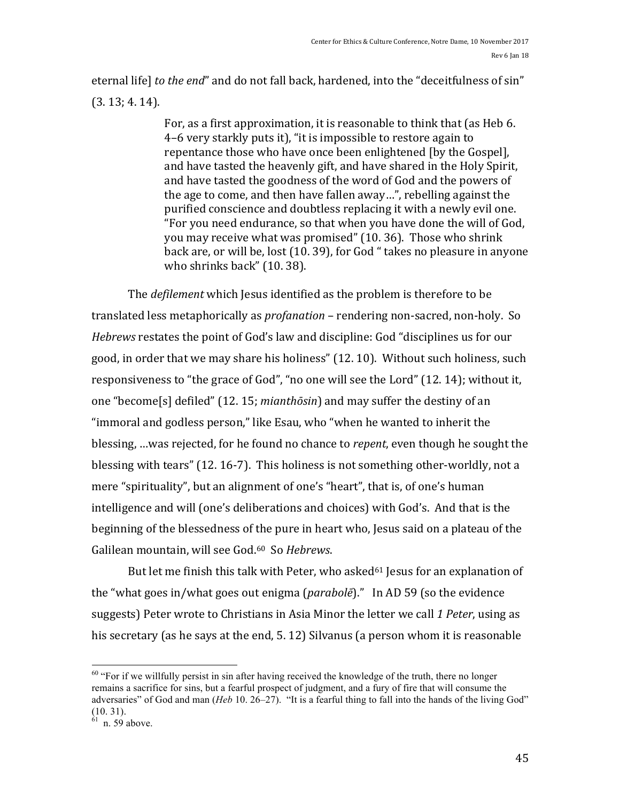eternal life] to the end" and do not fall back, hardened, into the "deceitfulness of sin"  $(3.13; 4.14).$ 

> For, as a first approximation, it is reasonable to think that (as Heb 6. 4–6 very starkly puts it), "it is impossible to restore again to repentance those who have once been enlightened (by the Gospel), and have tasted the heavenly gift, and have shared in the Holy Spirit, and have tasted the goodness of the word of God and the powers of the age to come, and then have fallen away...", rebelling against the purified conscience and doubtless replacing it with a newly evil one. "For you need endurance, so that when you have done the will of God, you may receive what was promised" (10. 36). Those who shrink back are, or will be, lost (10. 39), for God " takes no pleasure in anyone who shrinks back" (10. 38).

The *defilement* which Jesus identified as the problem is therefore to be translated less metaphorically as *profanation* – rendering non-sacred, non-holy. So *Hebrews* restates the point of God's law and discipline: God "disciplines us for our good, in order that we may share his holiness" (12. 10). Without such holiness, such responsiveness to "the grace of God", "no one will see the Lord" (12. 14); without it, one "become[s] defiled" (12. 15; *mianthōsin*) and may suffer the destiny of an "immoral and godless person," like Esau, who "when he wanted to inherit the blessing, ...was rejected, for he found no chance to *repent*, even though he sought the blessing with tears"  $(12.16-7)$ . This holiness is not something other-worldly, not a mere "spirituality", but an alignment of one's "heart", that is, of one's human intelligence and will (one's deliberations and choices) with God's. And that is the beginning of the blessedness of the pure in heart who, Jesus said on a plateau of the Galilean mountain, will see God.<sup>60</sup> So Hebrews.

But let me finish this talk with Peter, who asked<sup>61</sup> Jesus for an explanation of the "what goes in/what goes out enigma (*parabole*)." In AD 59 (so the evidence suggests) Peter wrote to Christians in Asia Minor the letter we call 1 Peter, using as his secretary (as he says at the end,  $5.12$ ) Silvanus (a person whom it is reasonable

 $60$  "For if we willfully persist in sin after having received the knowledge of the truth, there no longer remains a sacrifice for sins, but a fearful prospect of judgment, and a fury of fire that will consume the adversaries" of God and man (*Heb* 10. 26–27). "It is a fearful thing to fall into the hands of the living God" (10. 31).

 $61$  n. 59 above.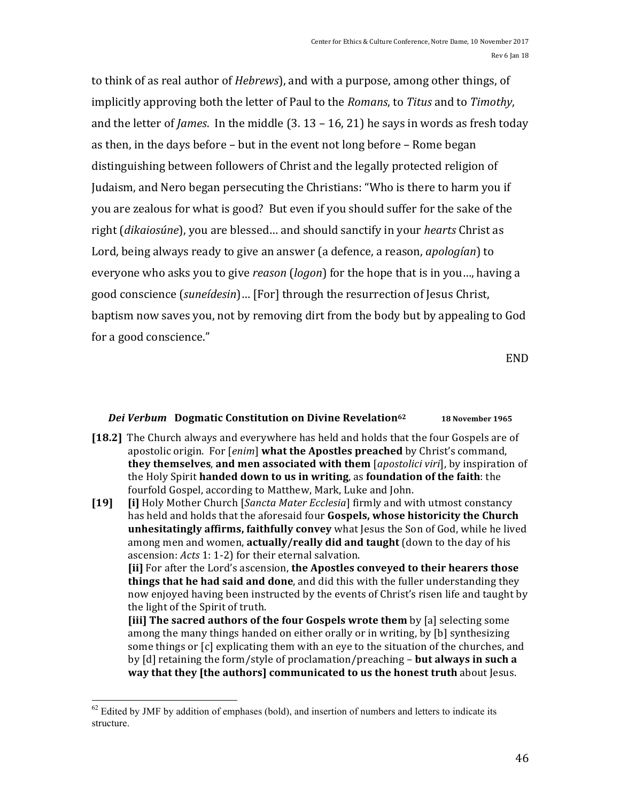to think of as real author of *Hebrews*), and with a purpose, among other things, of implicitly approving both the letter of Paul to the *Romans*, to *Titus* and to *Timothy*, and the letter of *James*. In the middle  $(3.13 - 16, 21)$  he says in words as fresh today as then, in the days before  $-$  but in the event not long before  $-$  Rome began distinguishing between followers of Christ and the legally protected religion of Judaism, and Nero began persecuting the Christians: "Who is there to harm you if you are zealous for what is good? But even if you should suffer for the sake of the right *(dikaiosúne)*, you are blessed... and should sanctify in your *hearts* Christ as Lord, being always ready to give an answer (a defence, a reason, *apologían*) to everyone who asks you to give *reason* (*logon*) for the hope that is in you..., having a good conscience (suneídesin)... [For] through the resurrection of Jesus Christ, baptism now saves you, not by removing dirt from the body but by appealing to God for a good conscience."

END

#### *Dei Verbum* Dogmatic Constitution on Divine Revelation<sup>62</sup> 18 November 1965

**[18.2]** The Church always and everywhere has held and holds that the four Gospels are of apostolic origin. For [*enim*] what the Apostles preached by Christ's command, **they themselves, and men associated with them** [*apostolici viri*], by inspiration of the Holy Spirit **handed down to us in writing**, as **foundation** of the faith: the fourfold Gospel, according to Matthew, Mark, Luke and John.

**[19] [i]** Holy Mother Church *[Sancta Mater Ecclesia]* firmly and with utmost constancy has held and holds that the aforesaid four **Gospels, whose historicity the Church** unhesitatingly affirms, faithfully convey what Jesus the Son of God, while he lived among men and women, **actually/really did and taught** (down to the day of his ascension: *Acts* 1: 1-2) for their eternal salvation.

**[ii]** For after the Lord's ascension, the Apostles conveyed to their hearers those **things that he had said and done**, and did this with the fuller understanding they now enjoyed having been instructed by the events of Christ's risen life and taught by the light of the Spirit of truth.

**[iii]** The sacred authors of the four Gospels wrote them by [a] selecting some among the many things handed on either orally or in writing, by [b] synthesizing some things or [c] explicating them with an eye to the situation of the churches, and by [d] retaining the form/style of proclamation/preaching – **but always in such a way** that they [the authors] communicated to us the honest truth about Jesus.

 $62$  Edited by JMF by addition of emphases (bold), and insertion of numbers and letters to indicate its structure.